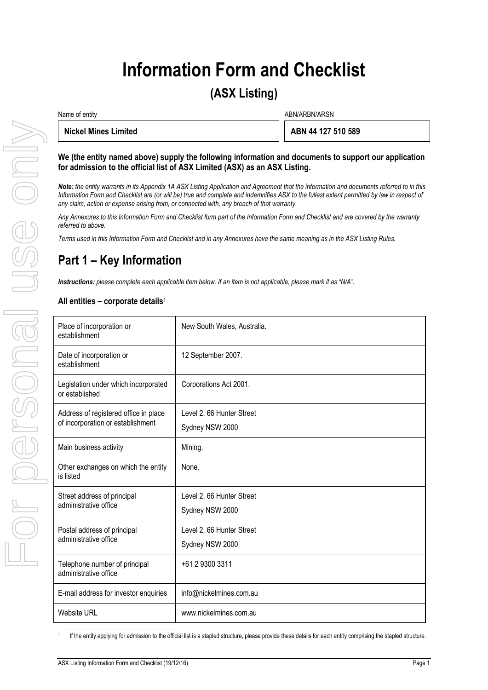# **Information Form and Checklist**

# **(ASX Listing)**

Name of entity and the state of entity and the state of entity and the state of entity and the state of entity  $\Delta$ BN/ARBN/ARSN

| Nickel Mines Limited |  |
|----------------------|--|
|----------------------|--|

**Nickel Mines Limited ABN 44 127 510 589**

#### **We (the entity named above) supply the following information and documents to support our application for admission to the official list of ASX Limited (ASX) as an ASX Listing.**

# **Part 1 – Key Information**

#### **All entities – corporate details**<sup>1</sup>

|  | <b>Nickel Mines Limited</b>                                                                                                                                                                                                                                                                                                                                                                                                                                                                                                                                                  |                             | ABN 44 127 510 589 |  |  |
|--|------------------------------------------------------------------------------------------------------------------------------------------------------------------------------------------------------------------------------------------------------------------------------------------------------------------------------------------------------------------------------------------------------------------------------------------------------------------------------------------------------------------------------------------------------------------------------|-----------------------------|--------------------|--|--|
|  | We (the entity named above) supply the following information and documents to support our application<br>for admission to the official list of ASX Limited (ASX) as an ASX Listing.<br>Note: the entity warrants in its Appendix 1A ASX Listing Application and Agreement that the information and documents referred to in this<br>Information Form and Checklist are (or will be) true and complete and indemnifies ASX to the fullest extent permitted by law in respect of<br>any claim, action or expense arising from, or connected with, any breach of that warranty. |                             |                    |  |  |
|  |                                                                                                                                                                                                                                                                                                                                                                                                                                                                                                                                                                              |                             |                    |  |  |
|  | Any Annexures to this Information Form and Checklist form part of the Information Form and Checklist and are covered by the warranty<br>referred to above.<br>Terms used in this Information Form and Checklist and in any Annexures have the same meaning as in the ASX Listing Rules.<br>Part 1 – Key Information                                                                                                                                                                                                                                                          |                             |                    |  |  |
|  |                                                                                                                                                                                                                                                                                                                                                                                                                                                                                                                                                                              |                             |                    |  |  |
|  |                                                                                                                                                                                                                                                                                                                                                                                                                                                                                                                                                                              |                             |                    |  |  |
|  | Instructions: please complete each applicable item below. If an item is not applicable, please mark it as "N/A".                                                                                                                                                                                                                                                                                                                                                                                                                                                             |                             |                    |  |  |
|  | All entities – corporate details <sup>1</sup>                                                                                                                                                                                                                                                                                                                                                                                                                                                                                                                                |                             |                    |  |  |
|  | Place of incorporation or<br>establishment                                                                                                                                                                                                                                                                                                                                                                                                                                                                                                                                   | New South Wales, Australia. |                    |  |  |
|  | Date of incorporation or<br>establishment                                                                                                                                                                                                                                                                                                                                                                                                                                                                                                                                    | 12 September 2007.          |                    |  |  |
|  | Legislation under which incorporated<br>or established                                                                                                                                                                                                                                                                                                                                                                                                                                                                                                                       | Corporations Act 2001.      |                    |  |  |
|  | Address of registered office in place                                                                                                                                                                                                                                                                                                                                                                                                                                                                                                                                        | Level 2, 66 Hunter Street   |                    |  |  |
|  | of incorporation or establishment                                                                                                                                                                                                                                                                                                                                                                                                                                                                                                                                            | Sydney NSW 2000             |                    |  |  |
|  | Main business activity                                                                                                                                                                                                                                                                                                                                                                                                                                                                                                                                                       | Mining.                     |                    |  |  |
|  | Other exchanges on which the entity<br>is listed                                                                                                                                                                                                                                                                                                                                                                                                                                                                                                                             | None.                       |                    |  |  |
|  | Street address of principal                                                                                                                                                                                                                                                                                                                                                                                                                                                                                                                                                  | Level 2, 66 Hunter Street   |                    |  |  |
|  | administrative office                                                                                                                                                                                                                                                                                                                                                                                                                                                                                                                                                        | Sydney NSW 2000             |                    |  |  |
|  | Postal address of principal                                                                                                                                                                                                                                                                                                                                                                                                                                                                                                                                                  | Level 2, 66 Hunter Street   |                    |  |  |
|  | administrative office                                                                                                                                                                                                                                                                                                                                                                                                                                                                                                                                                        | Sydney NSW 2000             |                    |  |  |
|  | Telephone number of principal<br>administrative office                                                                                                                                                                                                                                                                                                                                                                                                                                                                                                                       | +61 2 9300 3311             |                    |  |  |
|  | E-mail address for investor enquiries                                                                                                                                                                                                                                                                                                                                                                                                                                                                                                                                        | info@nickelmines.com.au     |                    |  |  |
|  | <b>Website URL</b>                                                                                                                                                                                                                                                                                                                                                                                                                                                                                                                                                           | www.nickelmines.com.au      |                    |  |  |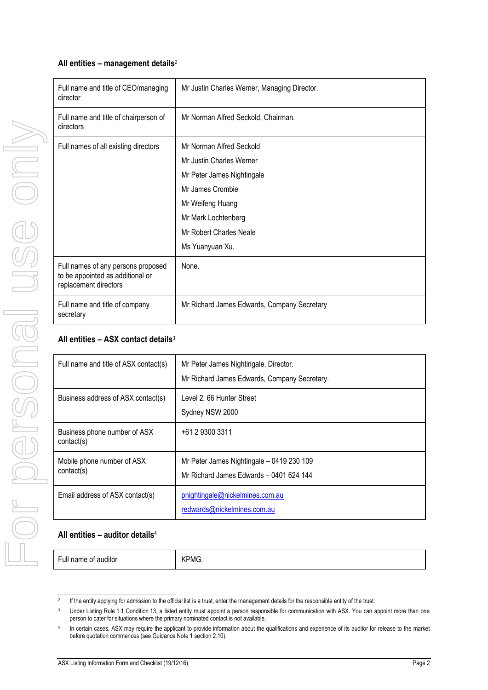# **All entities – management details**<sup>2</sup>

| Full name and title of CEO/managing<br>director                                                 | Mr Justin Charles Werner, Managing Director. |
|-------------------------------------------------------------------------------------------------|----------------------------------------------|
| Full name and title of chairperson of<br>directors                                              | Mr Norman Alfred Seckold, Chairman.          |
| Full names of all existing directors                                                            | Mr Norman Alfred Seckold                     |
|                                                                                                 | Mr Justin Charles Werner                     |
|                                                                                                 | Mr Peter James Nightingale                   |
|                                                                                                 | Mr James Crombie                             |
|                                                                                                 | Mr Weifeng Huang                             |
|                                                                                                 | Mr Mark Lochtenberg                          |
|                                                                                                 | Mr Robert Charles Neale                      |
|                                                                                                 | Ms Yuanyuan Xu.                              |
| Full names of any persons proposed<br>to be appointed as additional or<br>replacement directors | None.                                        |
| Full name and title of company<br>secretary                                                     | Mr Richard James Edwards, Company Secretary  |

# **All entities – ASX contact details**<sup>3</sup>

| Full name and title of ASX contact(s)      | Mr Peter James Nightingale, Director.<br>Mr Richard James Edwards, Company Secretary. |
|--------------------------------------------|---------------------------------------------------------------------------------------|
| Business address of ASX contact(s)         | Level 2, 66 Hunter Street<br>Sydney NSW 2000                                          |
| Business phone number of ASX<br>contact(s) | +61 2 9300 3311                                                                       |
| Mobile phone number of ASX<br>contact(s)   | Mr Peter James Nightingale - 0419 230 109<br>Mr Richard James Edwards - 0401 624 144  |
| Email address of ASX contact(s)            | pnightingale@nickelmines.com.au<br>redwards@nickelmines.com.au                        |

#### **All entities – auditor details**<sup>4</sup>

Full name of auditor **KPMG.** 

 $\frac{1}{2}$ If the entity applying for admission to the official list is a trust, enter the management details for the responsible entity of the trust.

<sup>&</sup>lt;sup>3</sup> Under Listing Rule 1.1 Condition 13, a listed entity must appoint a person responsible for communication with ASX. You can appoint more than one person to cater for situations where the primary nominated contact is not available.

<sup>4</sup> In certain cases, ASX may require the applicant to provide information about the qualifications and experience of its auditor for release to the market before quotation commences (see Guidance Note 1 section 2.10).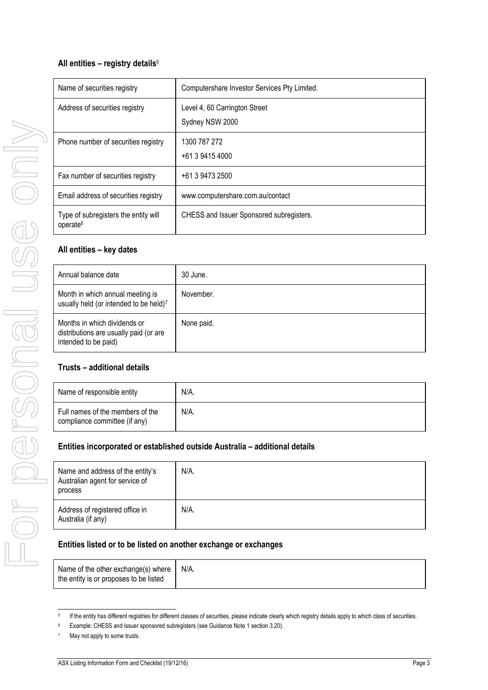# **All entities – registry details**<sup>5</sup>

| Name of securities registry                                  | Computershare Investor Services Pty Limited.     |
|--------------------------------------------------------------|--------------------------------------------------|
| Address of securities registry                               | Level 4, 60 Carrington Street<br>Sydney NSW 2000 |
| Phone number of securities registry                          | 1300 787 272<br>+61 3 9415 4000                  |
| Fax number of securities registry                            | +61 3 9473 2500                                  |
| Email address of securities registry                         | www.computershare.com.au/contact                 |
| Type of subregisters the entity will<br>operate <sup>6</sup> | CHESS and Issuer Sponsored subregisters.         |

# **All entities – key dates**

| Annual balance date                                                                            | 30 June.   |
|------------------------------------------------------------------------------------------------|------------|
| Month in which annual meeting is<br>usually held (or intended to be held)7                     | November.  |
| Months in which dividends or<br>distributions are usually paid (or are<br>intended to be paid) | None paid. |

#### **Trusts – additional details**

| Name of responsible entity                                        | N/A. |
|-------------------------------------------------------------------|------|
| Full names of the members of the<br>compliance committee (if any) | N/A. |

#### **Entities incorporated or established outside Australia – additional details**

| Name and address of the entity's<br>Australian agent for service of<br>process | N/A. |
|--------------------------------------------------------------------------------|------|
| Address of registered office in<br>Australia (if any)                          | N/A. |

### **Entities listed or to be listed on another exchange or exchanges**

| Name of the other exchange(s) where $\vert$ | N/A. |
|---------------------------------------------|------|
| the entity is or proposes to be listed      |      |

<sup>1</sup> 5 If the entity has different registries for different classes of securities, please indicate clearly which registry details apply to which class of securities.

<sup>6</sup> Example: CHESS and issuer sponsored subregisters (see Guidance Note 1 section 3.20).

<sup>&</sup>lt;sup>7</sup> May not apply to some trusts.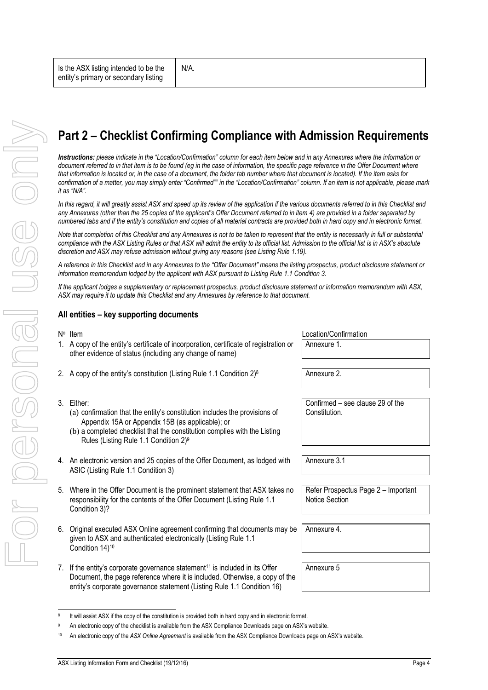# **Part 2 – Checklist Confirming Compliance with Admission Requirements**

*Instructions: please indicate in the "Location/Confirmation" column for each item below and in any Annexures where the information or*  document referred to in that item is to be found (eg in the case of information, the specific page reference in the Offer Document where *that information is located or, in the case of a document, the folder tab number where that document is located). If the item asks for confirmation of a matter, you may simply enter "Confirmed"" in the "Location/Confirmation" column. If an item is not applicable, please mark it as "N/A".*

In this regard, it will greatly assist ASX and speed up its review of the application if the various documents referred to in this Checklist and *any Annexures (other than the 25 copies of the applicant's Offer Document referred to in item [4\)](#page-3-0) are provided in a folder separated by numbered tabs and if the entity's constitution and copies of all material contracts are provided both in hard copy and in electronic format.*

*Note that completion of this Checklist and any Annexures is not to be taken to represent that the entity is necessarily in full or substantial*  compliance with the ASX Listing Rules or that ASX will admit the entity to its official list. Admission to the official list is in ASX's absolute *discretion and ASX may refuse admission without giving any reasons (see Listing Rule 1.19).*

*A reference in this Checklist and in any Annexures to the "Offer Document" means the listing prospectus, product disclosure statement or information memorandum lodged by the applicant with ASX pursuant to Listing Rule 1.1 Condition 3.*

*If the applicant lodges a supplementary or replacement prospectus, product disclosure statement or information memorandum with ASX, ASX may require it to update this Checklist and any Annexures by reference to that document.*

### **All entities – key supporting documents**

Is the ASX listing intended to be the

#### N<sup>o</sup> Item

1. A copy of the entity's certificate of incorporation, certificate of registration or other evidence of status (including any change of name)

N/A.

2. A copy of the entity's constitution (Listing Rule 1.1 Condition  $2)^8$  | Annexure 2.

#### 3. Either:

1 8

- (a) confirmation that the entity's constitution includes the provisions of Appendix 15A or Appendix 15B (as applicable); or
- (b) a completed checklist that the constitution complies with the Listing Rules (Listing Rule 1.1 Condition 2)<sup>9</sup>
- <span id="page-3-0"></span>4. An electronic version and 25 copies of the Offer Document, as lodged with ASIC (Listing Rule 1.1 Condition 3)
- 5. Where in the Offer Document is the prominent statement that ASX takes no responsibility for the contents of the Offer Document (Listing Rule 1.1 Condition 3)?
- 6. Original executed ASX Online agreement confirming that documents may be given to ASX and authenticated electronically (Listing Rule 1.1 Condition 14)<sup>10</sup>
- 7. If the entity's corporate governance statement<sup>11</sup> is included in its Offer Document, the page reference where it is included. Otherwise, a copy of the entity's corporate governance statement (Listing Rule 1.1 Condition 16)

It will assist ASX if the copy of the constitution is provided both in hard copy and in electronic format. An electronic copy of the checklist is available from the ASX Compliance Downloads page on ASX's website. <sup>10</sup> An electronic copy of the *ASX Online Agreement* is available from the ASX Compliance Downloads page on ASX's website.

Location/Confirmation Annexure 1.

Confirmed – see clause 29 of the Constitution.

Annexure 3.1

Refer Prospectus Page 2 – Important Notice Section

Annexure 4.

Annexure 5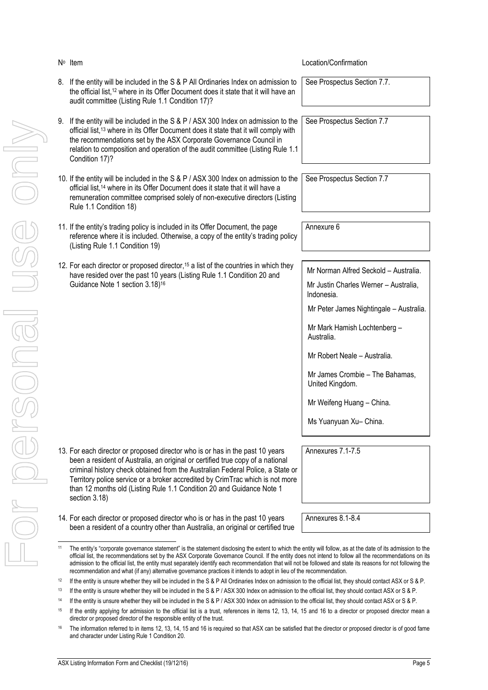<span id="page-4-0"></span>

|                                                |          | $N^{\circ}$ Item                                                                                                                                                                                                                                                                                                                                                                                                                                                                                                                                                                                                | Location/Confirmation                                                                        |
|------------------------------------------------|----------|-----------------------------------------------------------------------------------------------------------------------------------------------------------------------------------------------------------------------------------------------------------------------------------------------------------------------------------------------------------------------------------------------------------------------------------------------------------------------------------------------------------------------------------------------------------------------------------------------------------------|----------------------------------------------------------------------------------------------|
|                                                |          | 8. If the entity will be included in the S & P All Ordinaries Index on admission to<br>the official list, <sup>12</sup> where in its Offer Document does it state that it will have an<br>audit committee (Listing Rule 1.1 Condition 17)?                                                                                                                                                                                                                                                                                                                                                                      | See Prospectus Section 7.7.                                                                  |
| $\equiv$                                       | 9.       | If the entity will be included in the S & P / ASX 300 Index on admission to the<br>official list, <sup>13</sup> where in its Offer Document does it state that it will comply with<br>the recommendations set by the ASX Corporate Governance Council in<br>relation to composition and operation of the audit committee (Listing Rule 1.1)<br>Condition 17)?                                                                                                                                                                                                                                                   | See Prospectus Section 7.7                                                                   |
|                                                |          | 10. If the entity will be included in the S & P / ASX 300 Index on admission to the<br>official list, <sup>14</sup> where in its Offer Document does it state that it will have a<br>remuneration committee comprised solely of non-executive directors (Listing<br>Rule 1.1 Condition 18)                                                                                                                                                                                                                                                                                                                      | See Prospectus Section 7.7                                                                   |
|                                                |          | 11. If the entity's trading policy is included in its Offer Document, the page<br>reference where it is included. Otherwise, a copy of the entity's trading policy<br>(Listing Rule 1.1 Condition 19)                                                                                                                                                                                                                                                                                                                                                                                                           | Annexure 6                                                                                   |
|                                                |          | 12. For each director or proposed director, 15 a list of the countries in which they<br>have resided over the past 10 years (Listing Rule 1.1 Condition 20 and<br>Guidance Note 1 section 3.18) <sup>16</sup>                                                                                                                                                                                                                                                                                                                                                                                                   | Mr Norman Alfred Seckold - Australia.<br>Mr Justin Charles Werner - Australia,<br>Indonesia. |
|                                                |          |                                                                                                                                                                                                                                                                                                                                                                                                                                                                                                                                                                                                                 | Mr Peter James Nightingale - Australia.                                                      |
|                                                |          |                                                                                                                                                                                                                                                                                                                                                                                                                                                                                                                                                                                                                 | Mr Mark Hamish Lochtenberg -<br>Australia.                                                   |
| $\overline{\overline{\phantom{0}}\phantom{0}}$ |          |                                                                                                                                                                                                                                                                                                                                                                                                                                                                                                                                                                                                                 | Mr Robert Neale - Australia.                                                                 |
|                                                |          |                                                                                                                                                                                                                                                                                                                                                                                                                                                                                                                                                                                                                 | Mr James Crombie - The Bahamas,<br>United Kingdom.                                           |
|                                                |          |                                                                                                                                                                                                                                                                                                                                                                                                                                                                                                                                                                                                                 | Mr Weifeng Huang - China.                                                                    |
|                                                |          |                                                                                                                                                                                                                                                                                                                                                                                                                                                                                                                                                                                                                 | Ms Yuanyuan Xu- China.                                                                       |
|                                                |          | 13. For each director or proposed director who is or has in the past 10 years<br>been a resident of Australia, an original or certified true copy of a national                                                                                                                                                                                                                                                                                                                                                                                                                                                 | Annexures 7.1-7.5                                                                            |
|                                                |          | criminal history check obtained from the Australian Federal Police, a State or<br>Territory police service or a broker accredited by CrimTrac which is not more<br>than 12 months old (Listing Rule 1.1 Condition 20 and Guidance Note 1<br>section 3.18)                                                                                                                                                                                                                                                                                                                                                       |                                                                                              |
|                                                |          | 14. For each director or proposed director who is or has in the past 10 years<br>been a resident of a country other than Australia, an original or certified true                                                                                                                                                                                                                                                                                                                                                                                                                                               | Annexures 8.1-8.4                                                                            |
|                                                | 11       | The entity's "corporate governance statement" is the statement disclosing the extent to which the entity will follow, as at the date of its admission to the<br>official list, the recommendations set by the ASX Corporate Governance Council. If the entity does not intend to follow all the recommendations on its<br>admission to the official list, the entity must separately identify each recommendation that will not be followed and state its reasons for not following the<br>recommendation and what (if any) alternative governance practices it intends to adopt in lieu of the recommendation. |                                                                                              |
|                                                | 12       | If the entity is unsure whether they will be included in the S & P All Ordinaries Index on admission to the official list, they should contact ASX or S & P.                                                                                                                                                                                                                                                                                                                                                                                                                                                    |                                                                                              |
|                                                | 13<br>14 | If the entity is unsure whether they will be included in the S & P / ASX 300 Index on admission to the official list, they should contact ASX or S & P.                                                                                                                                                                                                                                                                                                                                                                                                                                                         |                                                                                              |
|                                                | 15       | If the entity is unsure whether they will be included in the S & P / ASX 300 Index on admission to the official list, they should contact ASX or S & P.<br>If the entity applying for admission to the official list is a trust, references in items 12, 13, 14, 15 and 16 to a director or proposed director mean a                                                                                                                                                                                                                                                                                            |                                                                                              |
|                                                |          | director or proposed director of the responsible entity of the trust.                                                                                                                                                                                                                                                                                                                                                                                                                                                                                                                                           |                                                                                              |
|                                                | 16       | The information referred to in items 12, 13, 14, 15 and 16 is required so that ASX can be satisfied that the director or proposed director is of good fame<br>and character under Listing Rule 1 Condition 20.                                                                                                                                                                                                                                                                                                                                                                                                  |                                                                                              |

Location/Confirmation

<span id="page-4-2"></span><span id="page-4-1"></span><sup>&</sup>lt;sup>12</sup> If the entity is unsure whether they will be included in the S & P All Ordinaries Index on admission to the official list, they should contact ASX or S & P.

<sup>13</sup> If the entity is unsure whether they will be included in the S & P / ASX 300 Index on admission to the official list, they should contact ASX or S & P.

<sup>&</sup>lt;sup>14</sup> If the entity is unsure whether they will be included in the S & P / ASX 300 Index on admission to the official list, they should contact ASX or S & P.

<sup>&</sup>lt;sup>15</sup> If the entity applying for admission to the official list is a trust, references in items [12,](#page-4-0) [13,](#page-4-1) [14,](#page-4-2) [15](#page-5-0) and [16](#page-5-1) to a director or proposed director mean a director or proposed director of the responsible entity of the trust.

<sup>&</sup>lt;sup>16</sup> The information referred to in items [12,](#page-4-0) [13,](#page-4-1) [14,](#page-4-2) [15](#page-5-0) an[d 16](#page-5-1) is required so that ASX can be satisfied that the director or proposed director is of good fame and character under Listing Rule 1 Condition 20.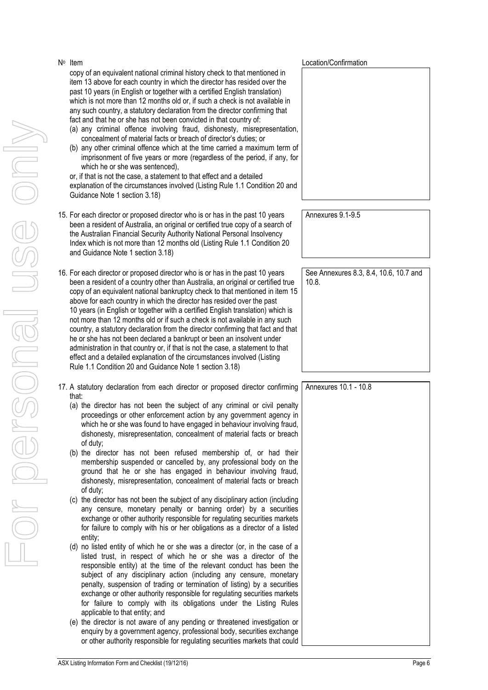<span id="page-5-1"></span><span id="page-5-0"></span>

| N° Item |                                                                                                                                                                                                                                                                                                                                                                                                                                                                                                                                                                                                                                                                                                                                                                                                                                                                                                                                                                                                                                                                                                                                                                                  | Location/Confirmation                           |
|---------|----------------------------------------------------------------------------------------------------------------------------------------------------------------------------------------------------------------------------------------------------------------------------------------------------------------------------------------------------------------------------------------------------------------------------------------------------------------------------------------------------------------------------------------------------------------------------------------------------------------------------------------------------------------------------------------------------------------------------------------------------------------------------------------------------------------------------------------------------------------------------------------------------------------------------------------------------------------------------------------------------------------------------------------------------------------------------------------------------------------------------------------------------------------------------------|-------------------------------------------------|
|         | copy of an equivalent national criminal history check to that mentioned in<br>item 13 above for each country in which the director has resided over the<br>past 10 years (in English or together with a certified English translation)<br>which is not more than 12 months old or, if such a check is not available in<br>any such country, a statutory declaration from the director confirming that<br>fact and that he or she has not been convicted in that country of:<br>(a) any criminal offence involving fraud, dishonesty, misrepresentation,<br>concealment of material facts or breach of director's duties; or<br>(b) any other criminal offence which at the time carried a maximum term of<br>imprisonment of five years or more (regardless of the period, if any, for<br>which he or she was sentenced),<br>or, if that is not the case, a statement to that effect and a detailed<br>explanation of the circumstances involved (Listing Rule 1.1 Condition 20 and<br>Guidance Note 1 section 3.18)                                                                                                                                                             |                                                 |
|         | 15. For each director or proposed director who is or has in the past 10 years<br>been a resident of Australia, an original or certified true copy of a search of<br>the Australian Financial Security Authority National Personal Insolvency<br>Index which is not more than 12 months old (Listing Rule 1.1 Condition 20<br>and Guidance Note 1 section 3.18)                                                                                                                                                                                                                                                                                                                                                                                                                                                                                                                                                                                                                                                                                                                                                                                                                   | Annexures 9.1-9.5                               |
|         | 16. For each director or proposed director who is or has in the past 10 years<br>been a resident of a country other than Australia, an original or certified true<br>copy of an equivalent national bankruptcy check to that mentioned in item 15<br>above for each country in which the director has resided over the past<br>10 years (in English or together with a certified English translation) which is<br>not more than 12 months old or if such a check is not available in any such<br>country, a statutory declaration from the director confirming that fact and that<br>he or she has not been declared a bankrupt or been an insolvent under<br>administration in that country or, if that is not the case, a statement to that<br>effect and a detailed explanation of the circumstances involved (Listing<br>Rule 1.1 Condition 20 and Guidance Note 1 section 3.18)                                                                                                                                                                                                                                                                                             | See Annexures 8.3, 8.4, 10.6, 10.7 and<br>10.8. |
|         | 17. A statutory declaration from each director or proposed director confirming                                                                                                                                                                                                                                                                                                                                                                                                                                                                                                                                                                                                                                                                                                                                                                                                                                                                                                                                                                                                                                                                                                   | Annexures 10.1 - 10.8                           |
| that:   | (a) the director has not been the subject of any criminal or civil penalty<br>proceedings or other enforcement action by any government agency in<br>which he or she was found to have engaged in behaviour involving fraud,<br>dishonesty, misrepresentation, concealment of material facts or breach<br>of duty;<br>(b) the director has not been refused membership of, or had their<br>membership suspended or cancelled by, any professional body on the<br>ground that he or she has engaged in behaviour involving fraud,<br>dishonesty, misrepresentation, concealment of material facts or breach<br>of duty;<br>(c) the director has not been the subject of any disciplinary action (including<br>any censure, monetary penalty or banning order) by a securities<br>exchange or other authority responsible for regulating securities markets<br>for failure to comply with his or her obligations as a director of a listed<br>entity;<br>(d) no listed entity of which he or she was a director (or, in the case of a<br>listed trust, in respect of which he or she was a director of the<br>responsible entity) at the time of the relevant conduct has been the |                                                 |
|         | subject of any disciplinary action (including any censure, monetary<br>penalty, suspension of trading or termination of listing) by a securities<br>exchange or other authority responsible for regulating securities markets<br>for failure to comply with its obligations under the Listing Rules<br>applicable to that entity; and<br>(e) the director is not aware of any pending or threatened investigation or<br>enquiry by a government agency, professional body, securities exchange<br>or other authority responsible for regulating securities markets that could                                                                                                                                                                                                                                                                                                                                                                                                                                                                                                                                                                                                    |                                                 |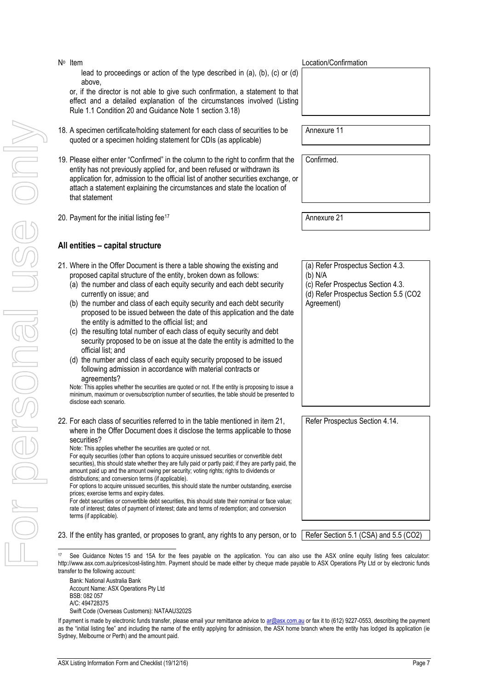Swift Code (Overseas Customers): NATAAU3202S

transfer to the following account: Bank: National Australia Bank Account Name: ASX Operations Pty Ltd

> BSB: 082 057 A/C: 494728375

- For personal use only USS ON **All entities – capital structure** l
- lead to proceedings or action of the type described in (a), (b), (c) or (d) above,

or, if the director is not able to give such confirmation, a statement to that effect and a detailed explanation of the circumstances involved (Listing Rule 1.1 Condition 20 and Guidance Note 1 section 3.18)

- 18. A specimen certificate/holding statement for each class of securities to be quoted or a specimen holding statement for CDIs (as applicable)
- 19. Please either enter "Confirmed" in the column to the right to confirm that the entity has not previously applied for, and been refused or withdrawn its application for, admission to the official list of another securities exchange, or attach a statement explaining the circumstances and state the location of that statement
- 20. Payment for the initial listing fee<sup>17</sup> Annexure 21

N<sup>o</sup> Item

#### <span id="page-6-0"></span>21. Where in the Offer Document is there a table showing the existing and proposed capital structure of the entity, broken down as follows:

- (a) the number and class of each equity security and each debt security currently on issue; and
- (b) the number and class of each equity security and each debt security proposed to be issued between the date of this application and the date the entity is admitted to the official list; and
- (c) the resulting total number of each class of equity security and debt security proposed to be on issue at the date the entity is admitted to the official list; and
- (d) the number and class of each equity security proposed to be issued following admission in accordance with material contracts or agreements?

Note: This applies whether the securities are quoted or not. If the entity is proposing to issue a minimum, maximum or oversubscription number of securities, the table should be presented to disclose each scenario.

22. For each class of securities referred to in the table mentioned in item [21,](#page-6-0)  where in the Offer Document does it disclose the terms applicable to those securities?

Note: This applies whether the securities are quoted or not.

For equity securities (other than options to acquire unissued securities or convertible debt securities), this should state whether they are fully paid or partly paid; if they are partly paid, the amount paid up and the amount owing per security; voting rights; rights to dividends or distributions; and conversion terms (if applicable).

For options to acquire unissued securities, this should state the number outstanding, exercise prices; exercise terms and expiry dates.

For debt securities or convertible debt securities, this should state their nominal or face value; rate of interest; dates of payment of interest; date and terms of redemption; and conversion terms (if applicable).

23. If the entity has granted, or proposes to grant, any rights to any person, or to Refer Section 5.1 (CSA) and 5.5 (CO2)

Location/Confirmation

Annexure 11

Confirmed.

(a) Refer Prospectus Section 4.3. (b) N/A

(c) Refer Prospectus Section 4.3.

(d) Refer Prospectus Section 5.5 (CO2 Agreement)

Refer Prospectus Section 4.14.

See Guidance Notes 15 and 15A for the fees payable on the application. You can also use the ASX online equity listing fees calculator: http://www.asx.com.au/prices/cost-listing.htm. Payment should be made either by cheque made payable to ASX Operations Pty Ltd or by electronic funds

If payment is made by electronic funds transfer, please email your remittance advice t[o ar@asx.com.au](mailto:ar@asx.com.au) or fax it to (612) 9227-0553, describing the payment as the "initial listing fee" and including the name of the entity applying for admission, the ASX home branch where the entity has lodged its application (ie Sydney, Melbourne or Perth) and the amount paid.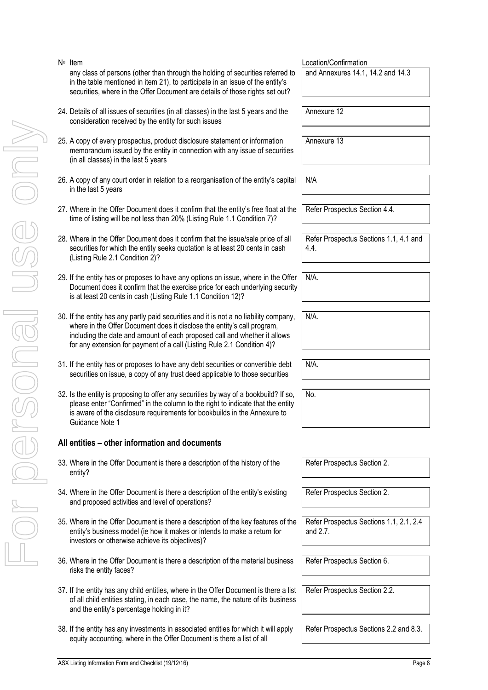For personal use only VILO POSONSI USS ON

N<sub>o</sub> Item

- 24. Details of all issues of securities (in all classes) in the last 5 years and the consideration received by the entity for such issues 25. A copy of every prospectus, product disclosure statement or information memorandum issued by the entity in connection with any issue of securities (in all classes) in the last 5 years Annexure 13 26. A copy of any court order in relation to a reorganisation of the entity's capital in the last 5 years N/A 27. Where in the Offer Document does it confirm that the entity's free float at the time of listing will be not less than 20% (Listing Rule 1.1 Condition 7)? Refer Prospectus Section 4.4. 28. Where in the Offer Document does it confirm that the issue/sale price of all securities for which the entity seeks quotation is at least 20 cents in cash (Listing Rule 2.1 Condition 2)? 4.4. 29. If the entity has or proposes to have any options on issue, where in the Offer Document does it confirm that the exercise price for each underlying security is at least 20 cents in cash (Listing Rule 1.1 Condition 12)? N/A. N/A.
- 30. If the entity has any partly paid securities and it is not a no liability company, where in the Offer Document does it disclose the entity's call program, including the date and amount of each proposed call and whether it allows for any extension for payment of a call (Listing Rule 2.1 Condition 4)?

any class of persons (other than through the holding of securities referred to in the table mentioned in item [21](#page-6-0)), to participate in an issue of the entity's securities, where in the Offer Document are details of those rights set out?

- 31. If the entity has or proposes to have any debt securities or convertible debt securities on issue, a copy of any trust deed applicable to those securities
- 32. Is the entity is proposing to offer any securities by way of a bookbuild? If so, please enter "Confirmed" in the column to the right to indicate that the entity is aware of the disclosure requirements for bookbuilds in the Annexure to Guidance Note 1

# **All entities – other information and documents**

- 33. Where in the Offer Document is there a description of the history of the entity?
- 34. Where in the Offer Document is there a description of the entity's existing and proposed activities and level of operations?
- 35. Where in the Offer Document is there a description of the key features of the entity's business model (ie how it makes or intends to make a return for investors or otherwise achieve its objectives)?
- 36. Where in the Offer Document is there a description of the material business risks the entity faces?
- 37. If the entity has any child entities, where in the Offer Document is there a list of all child entities stating, in each case, the name, the nature of its business and the entity's percentage holding in it?
- 38. If the entity has any investments in associated entities for which it will apply equity accounting, where in the Offer Document is there a list of all

Location/Confirmation and Annexures 14.1, 14.2 and 14.3

Annexure 12

Refer Prospectus Sections 1.1, 4.1 and

N/A.

No.

Refer Prospectus Section 2.

Refer Prospectus Section 2.

Refer Prospectus Sections 1.1, 2.1, 2.4 and 2.7.

Refer Prospectus Section 6.

Refer Prospectus Section 2.2.

Refer Prospectus Sections 2.2 and 8.3.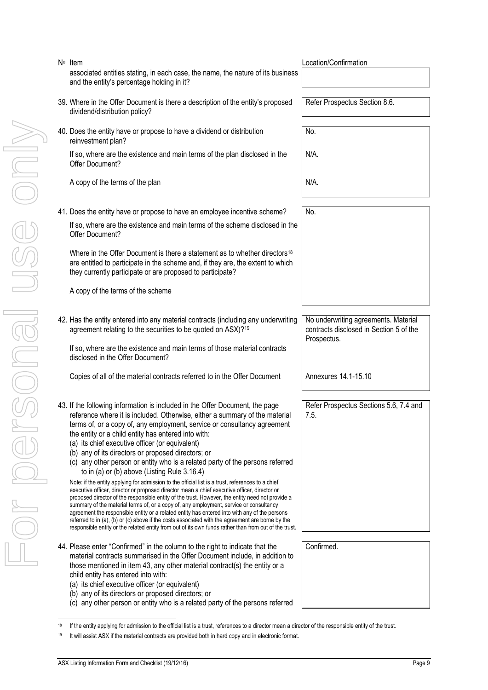For personal use only JSE ONI LEUGROSOLE

| $No$ Item                                                                                                                       |  |  |  |  |
|---------------------------------------------------------------------------------------------------------------------------------|--|--|--|--|
| associated entities stating, in each case, the name, the nature of its business  <br>and the entity's percentage holding in it? |  |  |  |  |
| 30 Where in the Offer Decument is there a description of the entity's proposed                                                  |  |  |  |  |

- 39. Where in the Offer Document is there a description of the entity's proposed dividend/distribution policy?
- 40. Does the entity have or propose to have a dividend or distribution reinvestment plan?

If so, where are the existence and main terms of the plan disclosed in the Offer Document?

A copy of the terms of the plan N/A.

41. Does the entity have or propose to have an employee incentive scheme? | No.

If so, where are the existence and main terms of the scheme disclosed in the Offer Document?

Where in the Offer Document is there a statement as to whether directors<sup>18</sup> are entitled to participate in the scheme and, if they are, the extent to which they currently participate or are proposed to participate?

A copy of the terms of the scheme

42. Has the entity entered into any material contracts (including any underwriting agreement relating to the securities to be quoted on ASX)?<sup>19</sup>

If so, where are the existence and main terms of those material contracts disclosed in the Offer Document?

Copies of all of the material contracts referred to in the Offer Document Annexures 14.1-15.10

- <span id="page-8-0"></span>43. If the following information is included in the Offer Document, the page reference where it is included. Otherwise, either a summary of the material terms of, or a copy of, any employment, service or consultancy agreement the entity or a child entity has entered into with:
	- (a) its chief executive officer (or equivalent)
	- (b) any of its directors or proposed directors; or
	- (c) any other person or entity who is a related party of the persons referred to in (a) or (b) above (Listing Rule 3.16.4)

Note: if the entity applying for admission to the official list is a trust, references to a chief executive officer, director or proposed director mean a chief executive officer, director or proposed director of the responsible entity of the trust. However, the entity need not provide a summary of the material terms of, or a copy of, any employment, service or consultancy agreement the responsible entity or a related entity has entered into with any of the persons referred to in (a), (b) or (c) above if the costs associated with the agreement are borne by the responsible entity or the related entity from out of its own funds rather than from out of the trust.

- 44. Please enter "Confirmed" in the column to the right to indicate that the material contracts summarised in the Offer Document include, in addition to those mentioned in item [43,](#page-8-0) any other material contract(s) the entity or a child entity has entered into with:
	- (a) its chief executive officer (or equivalent)
	- (b) any of its directors or proposed directors; or
	- (c) any other person or entity who is a related party of the persons referred

Location/Confirmation

Refer Prospectus Section 8.6.

No. N/A.

No underwriting agreements. Material contracts disclosed in Section 5 of the Prospectus.

Refer Prospectus Sections 5.6, 7.4 and 7.5.

Confirmed.

<sup>1</sup> If the entity applying for admission to the official list is a trust, references to a director mean a director of the responsible entity of the trust.

<sup>&</sup>lt;sup>19</sup> It will assist ASX if the material contracts are provided both in hard copy and in electronic format.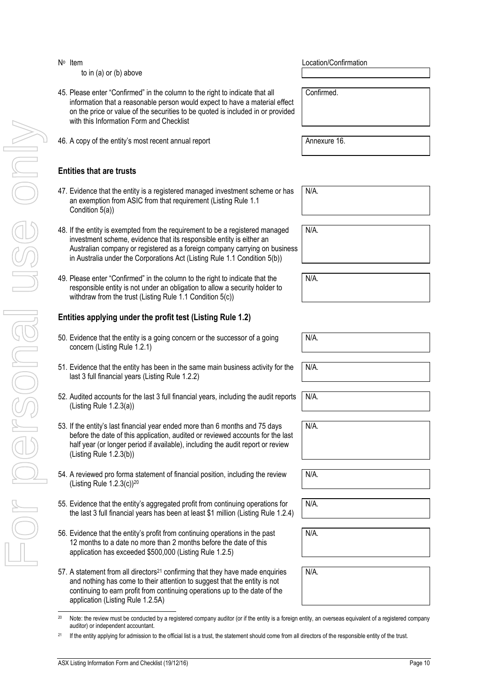- 24 IS in the entity has trusted for a trust is a trust is a trust of the entity is a trust. The entity is a trust is a trust is a trust. The entity is a trust is a trust. The entity is a trust is a trust. The entity of th
- N<sub>o</sub> Item to in (a) or (b) above
- 45. Please enter "Confirmed" in the column to the right to indicate that all information that a reasonable person would expect to have a material effect on the price or value of the securities to be quoted is included in or provided with this Information Form and Checklist
	- 46. A copy of the entity's most recent annual report Annexure 16.

# **Entities that are trusts**

- 47. Evidence that the entity is a registered managed investment scheme or has an exemption from ASIC from that requirement (Listing Rule 1.1 Condition 5(a))
- 48. If the entity is exempted from the requirement to be a registered managed investment scheme, evidence that its responsible entity is either an Australian company or registered as a foreign company carrying on business in Australia under the Corporations Act (Listing Rule 1.1 Condition 5(b))
- 49. Please enter "Confirmed" in the column to the right to indicate that the responsible entity is not under an obligation to allow a security holder to withdraw from the trust (Listing Rule 1.1 Condition 5(c))

# **Entities applying under the profit test (Listing Rule 1.2)**

- 50. Evidence that the entity is a going concern or the successor of a going concern (Listing Rule 1.2.1)
- 51. Evidence that the entity has been in the same main business activity for the last 3 full financial years (Listing Rule 1.2.2)
- 52. Audited accounts for the last 3 full financial years, including the audit reports (Listing Rule 1.2.3(a))
- 53. If the entity's last financial year ended more than 6 months and 75 days before the date of this application, audited or reviewed accounts for the last half year (or longer period if available), including the audit report or review (Listing Rule 1.2.3(b))
- 54. A reviewed pro forma statement of financial position, including the review (Listing Rule 1.2.3(c))<sup>20</sup>
- 55. Evidence that the entity's aggregated profit from continuing operations for the last 3 full financial years has been at least \$1 million (Listing Rule 1.2.4)
- 56. Evidence that the entity's profit from continuing operations in the past 12 months to a date no more than 2 months before the date of this application has exceeded \$500,000 (Listing Rule 1.2.5)
- 57. A statement from all directors<sup>21</sup> confirming that they have made enquiries and nothing has come to their attention to suggest that the entity is not continuing to earn profit from continuing operations up to the date of the application (Listing Rule 1.2.5A)

Location/Confirmation

Confirmed.

N/A.

N/A.

N/A.

N/A.

N/A.

N/A.

N/A.

N/A.

N/A.

N/A.

N/A.

1 <sup>20</sup> Note: the review must be conducted by a registered company auditor (or if the entity is a foreign entity, an overseas equivalent of a registered company auditor) or independent accountant.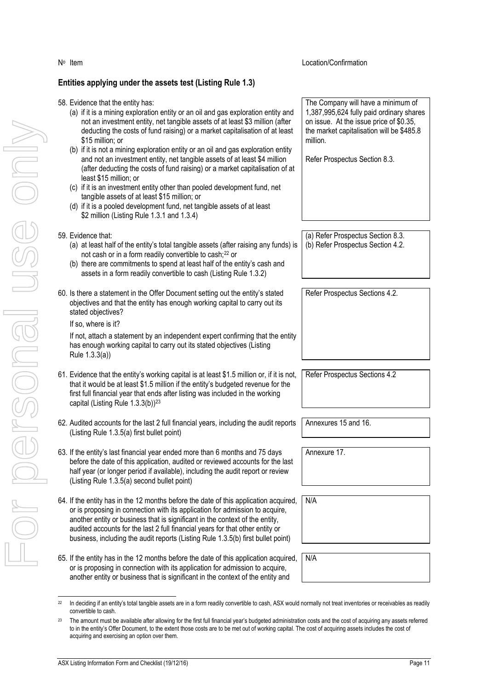# **Entities applying under the assets test (Listing Rule 1.3)**

N<sup>o</sup> Item

| 58. Evidence that the entity has:<br>(a) if it is a mining exploration entity or an oil and gas exploration entity and<br>not an investment entity, net tangible assets of at least \$3 million (after<br>deducting the costs of fund raising) or a market capitalisation of at least<br>\$15 million; or<br>(b) if it is not a mining exploration entity or an oil and gas exploration entity<br>and not an investment entity, net tangible assets of at least \$4 million<br>(after deducting the costs of fund raising) or a market capitalisation of at<br>least \$15 million; or<br>(c) if it is an investment entity other than pooled development fund, net<br>tangible assets of at least \$15 million; or<br>(d) if it is a pooled development fund, net tangible assets of at least<br>\$2 million (Listing Rule 1.3.1 and 1.3.4) | The Company will have a minimum of<br>1,387,995,624 fully paid ordinary shares<br>on issue. At the issue price of \$0.35,<br>the market capitalisation will be \$485.8<br>million.<br>Refer Prospectus Section 8.3. |
|---------------------------------------------------------------------------------------------------------------------------------------------------------------------------------------------------------------------------------------------------------------------------------------------------------------------------------------------------------------------------------------------------------------------------------------------------------------------------------------------------------------------------------------------------------------------------------------------------------------------------------------------------------------------------------------------------------------------------------------------------------------------------------------------------------------------------------------------|---------------------------------------------------------------------------------------------------------------------------------------------------------------------------------------------------------------------|
| 59. Evidence that:                                                                                                                                                                                                                                                                                                                                                                                                                                                                                                                                                                                                                                                                                                                                                                                                                          | (a) Refer Prospectus Section 8.3.                                                                                                                                                                                   |
| (a) at least half of the entity's total tangible assets (after raising any funds) is                                                                                                                                                                                                                                                                                                                                                                                                                                                                                                                                                                                                                                                                                                                                                        | (b) Refer Prospectus Section 4.2.                                                                                                                                                                                   |
| not cash or in a form readily convertible to cash; <sup>22</sup> or<br>(b) there are commitments to spend at least half of the entity's cash and                                                                                                                                                                                                                                                                                                                                                                                                                                                                                                                                                                                                                                                                                            |                                                                                                                                                                                                                     |
| assets in a form readily convertible to cash (Listing Rule 1.3.2)                                                                                                                                                                                                                                                                                                                                                                                                                                                                                                                                                                                                                                                                                                                                                                           |                                                                                                                                                                                                                     |
| 60. Is there a statement in the Offer Document setting out the entity's stated<br>objectives and that the entity has enough working capital to carry out its<br>stated objectives?                                                                                                                                                                                                                                                                                                                                                                                                                                                                                                                                                                                                                                                          | Refer Prospectus Sections 4.2.                                                                                                                                                                                      |
| If so, where is it?                                                                                                                                                                                                                                                                                                                                                                                                                                                                                                                                                                                                                                                                                                                                                                                                                         |                                                                                                                                                                                                                     |
| If not, attach a statement by an independent expert confirming that the entity<br>has enough working capital to carry out its stated objectives (Listing<br>Rule 1.3.3(a))                                                                                                                                                                                                                                                                                                                                                                                                                                                                                                                                                                                                                                                                  |                                                                                                                                                                                                                     |
| 61. Evidence that the entity's working capital is at least \$1.5 million or, if it is not,<br>that it would be at least \$1.5 million if the entity's budgeted revenue for the<br>first full financial year that ends after listing was included in the working<br>capital (Listing Rule 1.3.3(b)) <sup>23</sup>                                                                                                                                                                                                                                                                                                                                                                                                                                                                                                                            | Refer Prospectus Sections 4.2                                                                                                                                                                                       |
| 62. Audited accounts for the last 2 full financial years, including the audit reports<br>(Listing Rule 1.3.5(a) first bullet point)                                                                                                                                                                                                                                                                                                                                                                                                                                                                                                                                                                                                                                                                                                         | Annexures 15 and 16.                                                                                                                                                                                                |
| 63. If the entity's last financial year ended more than 6 months and 75 days<br>before the date of this application, audited or reviewed accounts for the last<br>half year (or longer period if available), including the audit report or review<br>(Listing Rule 1.3.5(a) second bullet point)                                                                                                                                                                                                                                                                                                                                                                                                                                                                                                                                            | Annexure 17.                                                                                                                                                                                                        |
| 64. If the entity has in the 12 months before the date of this application acquired,                                                                                                                                                                                                                                                                                                                                                                                                                                                                                                                                                                                                                                                                                                                                                        | N/A                                                                                                                                                                                                                 |
| or is proposing in connection with its application for admission to acquire,<br>another entity or business that is significant in the context of the entity,<br>audited accounts for the last 2 full financial years for that other entity or<br>business, including the audit reports (Listing Rule 1.3.5(b) first bullet point)                                                                                                                                                                                                                                                                                                                                                                                                                                                                                                           |                                                                                                                                                                                                                     |
| 65. If the entity has in the 12 months before the date of this application acquired,                                                                                                                                                                                                                                                                                                                                                                                                                                                                                                                                                                                                                                                                                                                                                        | N/A                                                                                                                                                                                                                 |
| or is proposing in connection with its application for admission to acquire,                                                                                                                                                                                                                                                                                                                                                                                                                                                                                                                                                                                                                                                                                                                                                                |                                                                                                                                                                                                                     |

Location/Confirmation

another entity or business that is significant in the context of the entity and

 $22$ In deciding if an entity's total tangible assets are in a form readily convertible to cash, ASX would normally not treat inventories or receivables as readily convertible to cash.

<sup>&</sup>lt;sup>23</sup> The amount must be available after allowing for the first full financial year's budgeted administration costs and the cost of acquiring any assets referred to in the entity's Offer Document, to the extent those costs are to be met out of working capital. The cost of acquiring assets includes the cost of acquiring and exercising an option over them.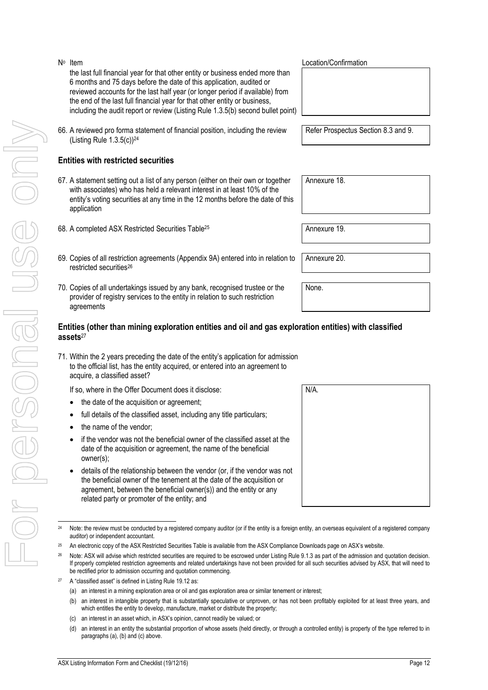For personal use only r personal use onny  $^{24}$ 

#### N<sub>o</sub> Item the last full financial year for that other entity or business ended more than 6 months and 75 days before the date of this application, audited or reviewed accounts for the last half year (or longer period if available) from the end of the last full financial year for that other entity or business, including the audit report or review (Listing Rule 1.3.5(b) second bullet point)

66. A reviewed pro forma statement of financial position, including the review (Listing Rule  $1.3.5(c)$ )<sup>24</sup>

# **Entities with restricted securities**

- 67. A statement setting out a list of any person (either on their own or together with associates) who has held a relevant interest in at least 10% of the entity's voting securities at any time in the 12 months before the date of this application
- 68. A completed ASX Restricted Securities Table<sup>25</sup> Annexure 19.
- <span id="page-11-0"></span>69. Copies of all restriction agreements (Appendix 9A) entered into in relation to restricted securities<sup>26</sup>
- 70. Copies of all undertakings issued by any bank, recognised trustee or the provider of registry services to the entity in relation to such restriction agreements

#### **Entities (other than mining exploration entities and oil and gas exploration entities) with classified assets**<sup>27</sup>

- 71. Within the 2 years preceding the date of the entity's application for admission to the official list, has the entity acquired, or entered into an agreement to acquire, a classified asset?
	- If so, where in the Offer Document does it disclose:
	- the date of the acquisition or agreement;
	- full details of the classified asset, including any title particulars;
	- the name of the vendor;
	- if the vendor was not the beneficial owner of the classified asset at the date of the acquisition or agreement, the name of the beneficial owner(s);
	- details of the relationship between the vendor (or, if the vendor was not the beneficial owner of the tenement at the date of the acquisition or agreement, between the beneficial owner(s)) and the entity or any related party or promoter of the entity; and

Location/Confirmation

Refer Prospectus Section 8.3 and 9.

Annexure 18.

Annexure 20.

None.



Note: the review must be conducted by a registered company auditor (or if the entity is a foreign entity, an overseas equivalent of a registered company auditor) or independent accountant.

<sup>25</sup> An electronic copy of the ASX Restricted Securities Table is available from the ASX Compliance Downloads page on ASX's website.

<sup>&</sup>lt;sup>26</sup> Note: ASX will advise which restricted securities are required to be escrowed under Listing Rule 9.1.3 as part of the admission and quotation decision. If properly completed restriction agreements and related undertakings have not been provided for all such securities advised by ASX, that will need to be rectified prior to admission occurring and quotation commencing.

<sup>&</sup>lt;sup>27</sup> A "classified asset" is defined in Listing Rule 19.12 as:

<sup>(</sup>a) an interest in a mining exploration area or oil and gas exploration area or similar tenement or interest;

<sup>(</sup>b) an interest in intangible property that is substantially speculative or unproven, or has not been profitably exploited for at least three years, and which entitles the entity to develop, manufacture, market or distribute the property;

<sup>(</sup>c) an interest in an asset which, in ASX's opinion, cannot readily be valued; or

<sup>(</sup>d) an interest in an entity the substantial proportion of whose assets (held directly, or through a controlled entity) is property of the type referred to in paragraphs (a), (b) and (c) above.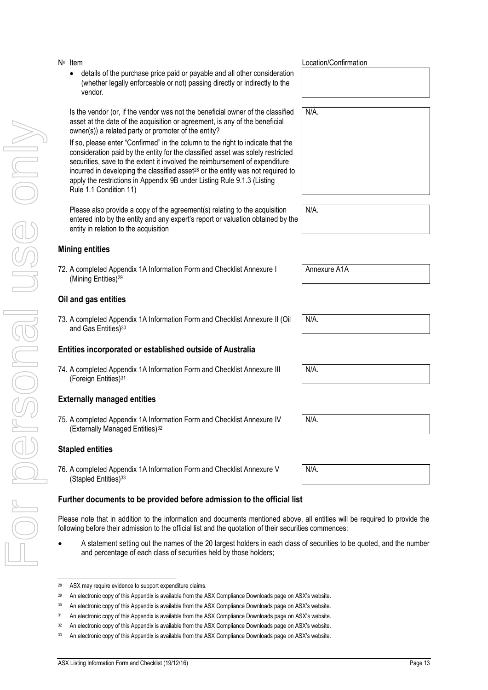- For personal use only VILO PORSONAL USS ON
- N<sup>o</sup> Item details of the purchase price paid or payable and all other consideration (whether legally enforceable or not) passing directly or indirectly to the vendor.

Is the vendor (or, if the vendor was not the beneficial owner of the classified asset at the date of the acquisition or agreement, is any of the beneficial owner(s)) a related party or promoter of the entity?

If so, please enter "Confirmed" in the column to the right to indicate that the consideration paid by the entity for the classified asset was solely restricted securities, save to the extent it involved the reimbursement of expenditure incurred in developing the classified asset<sup>28</sup> or the entity was not required to apply the restrictions in Appendix 9B under Listing Rule 9.1.3 (Listing Rule 1.1 Condition 11)

Please also provide a copy of the agreement(s) relating to the acquisition entered into by the entity and any expert's report or valuation obtained by the entity in relation to the acquisition

# **Mining entities**

72. A completed Appendix 1A Information Form and Checklist Annexure I (Mining Entities)<sup>29</sup>

# **Oil and gas entities**

73. A completed Appendix 1A Information Form and Checklist Annexure II (Oil and Gas Entities)<sup>30</sup>

# **Entities incorporated or established outside of Australia**

74. A completed Appendix 1A Information Form and Checklist Annexure III (Foreign Entities)<sup>31</sup>

# **Externally managed entities**

75. A completed Appendix 1A Information Form and Checklist Annexure IV (Externally Managed Entities)<sup>32</sup>

# **Stapled entities**

76. A completed Appendix 1A Information Form and Checklist Annexure V (Stapled Entities)<sup>33</sup>

# **Further documents to be provided before admission to the official list**

Please note that in addition to the information and documents mentioned above, all entities will be required to provide the following before their admission to the official list and the quotation of their securities commences:

 A statement setting out the names of the 20 largest holders in each class of securities to be quoted, and the number and percentage of each class of securities held by those holders;

Location/Confirmation

N/A.

N/A.

Annexure A1A

N/A.

N/A.

N/A.

N/A.

j 28 ASX may require evidence to support expenditure claims.

<sup>&</sup>lt;sup>29</sup> An electronic copy of this Appendix is available from the ASX Compliance Downloads page on ASX's website.

<sup>&</sup>lt;sup>30</sup> An electronic copy of this Appendix is available from the ASX Compliance Downloads page on ASX's website.

<sup>&</sup>lt;sup>31</sup> An electronic copy of this Appendix is available from the ASX Compliance Downloads page on ASX's website.

<sup>&</sup>lt;sup>32</sup> An electronic copy of this Appendix is available from the ASX Compliance Downloads page on ASX's website.

<sup>33</sup> An electronic copy of this Appendix is available from the ASX Compliance Downloads page on ASX's website.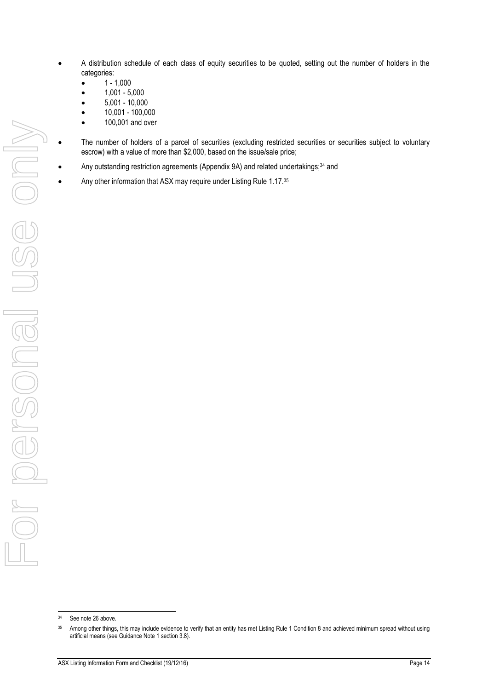- A distribution schedule of each class of equity securities to be quoted, setting out the number of holders in the categories:
	- 1 1,000
	- 1,001 5,000
	- 5,001 10,000
	- 10,001 100,000
	- 100,001 and over
- The number of holders of a parcel of securities (excluding restricted securities or securities subject to voluntary escrow) with a value of more than \$2,000, based on the issue/sale price;
- Any outstanding restriction agreements (Appendix 9A) and related undertakings;<sup>34</sup> and
	- Any other information that ASX may require under Listing Rule 1.17.35

1

<sup>&</sup>lt;sup>34</sup> See note [26](#page-11-0) above.

<sup>&</sup>lt;sup>35</sup> Among other things, this may include evidence to verify that an entity has met Listing Rule 1 Condition 8 and achieved minimum spread without using artificial means (see Guidance Note 1 section 3.8).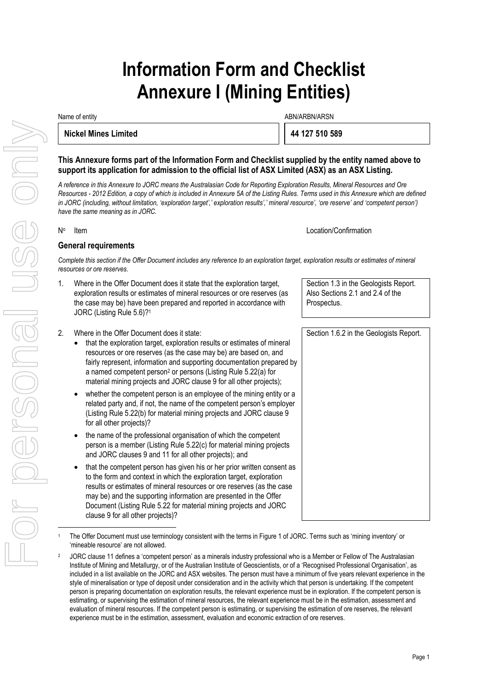# **Information Form and Checklist Annexure I (Mining Entities)**

Name of entity and the state of the state of the state of the ABN/ARBN/ARSN ABN/ARBN/ARSN

**Nickel Mines Limited 44 127 510 589** 

**This Annexure forms part of the Information Form and Checklist supplied by the entity named above to support its application for admission to the official list of ASX Limited (ASX) as an ASX Listing.** 

*A reference in this Annexure to JORC means the Australasian Code for Reporting Exploration Results, Mineral Resources and Ore Resources - 2012 Edition, a copy of which is included in Annexure 5A of the Listing Rules. Terms used in this Annexure which are defined in JORC (including, without limitation, 'exploration target',' exploration results',' mineral resource', 'ore reserve' and 'competent person') have the same meaning as in JORC.* 

No

Item Location/Confirmation

### **General requirements**

*Complete this section if the Offer Document includes any reference to an exploration target, exploration results or estimates of mineral resources or ore reserves.*

- 1. Where in the Offer Document does it state that the exploration target, exploration results or estimates of mineral resources or ore reserves (as the case may be) have been prepared and reported in accordance with JORC (Listing Rule 5.6)?<sup>1</sup>
- 2. Where in the Offer Document does it state:
	- that the exploration target, exploration results or estimates of mineral resources or ore reserves (as the case may be) are based on, and fairly represent, information and supporting documentation prepared by a named competent person<sup>2</sup> or persons (Listing Rule 5.22(a) for material mining projects and JORC clause 9 for all other projects);
	- whether the competent person is an employee of the mining entity or a related party and, if not, the name of the competent person's employer (Listing Rule 5.22(b) for material mining projects and JORC clause 9 for all other projects)?
	- the name of the professional organisation of which the competent person is a member (Listing Rule 5.22(c) for material mining projects and JORC clauses 9 and 11 for all other projects); and
	- that the competent person has given his or her prior written consent as to the form and context in which the exploration target, exploration results or estimates of mineral resources or ore reserves (as the case may be) and the supporting information are presented in the Offer Document (Listing Rule 5.22 for material mining projects and JORC clause 9 for all other projects)?

 The Offer Document must use terminology consistent with the terms in Figure 1 of JORC. Terms such as 'mining inventory' or 'mineable resource' are not allowed.

2 JORC clause 11 defines a 'competent person' as a minerals industry professional who is a Member or Fellow of The Australasian Institute of Mining and Metallurgy, or of the Australian Institute of Geoscientists, or of a 'Recognised Professional Organisation', as included in a list available on the JORC and ASX websites. The person must have a minimum of five years relevant experience in the style of mineralisation or type of deposit under consideration and in the activity which that person is undertaking. If the competent person is preparing documentation on exploration results, the relevant experience must be in exploration. If the competent person is estimating, or supervising the estimation of mineral resources, the relevant experience must be in the estimation, assessment and evaluation of mineral resources. If the competent person is estimating, or supervising the estimation of ore reserves, the relevant experience must be in the estimation, assessment, evaluation and economic extraction of ore reserves.

Section 1.3 in the Geologists Report. Also Sections 2.1 and 2.4 of the Prospectus.

Section 1.6.2 in the Geologists Report.

1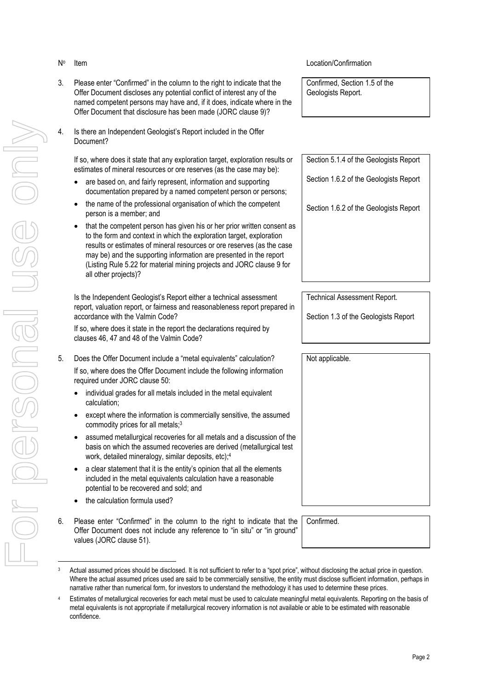- No
- 3. Please enter "Confirmed" in the column to the right to indicate that the Offer Document discloses any potential conflict of interest any of the named competent persons may have and, if it does, indicate where in the Offer Document that disclosure has been made (JORC clause 9)?
- 4. Is there an Independent Geologist's Report included in the Offer Document?

If so, where does it state that any exploration target, exploration results or estimates of mineral resources or ore reserves (as the case may be):

- are based on, and fairly represent, information and supporting documentation prepared by a named competent person or persons;
- the name of the professional organisation of which the competent person is a member; and
- that the competent person has given his or her prior written consent as to the form and context in which the exploration target, exploration results or estimates of mineral resources or ore reserves (as the case may be) and the supporting information are presented in the report (Listing Rule 5.22 for material mining projects and JORC clause 9 for all other projects)?

Is the Independent Geologist's Report either a technical assessment report, valuation report, or fairness and reasonableness report prepared in accordance with the Valmin Code?

If so, where does it state in the report the declarations required by clauses 46, 47 and 48 of the Valmin Code?

- 5. Does the Offer Document include a "metal equivalents" calculation? If so, where does the Offer Document include the following information required under JORC clause 50:
	- individual grades for all metals included in the metal equivalent calculation;
	- except where the information is commercially sensitive, the assumed commodity prices for all metals;<sup>3</sup>
	- assumed metallurgical recoveries for all metals and a discussion of the basis on which the assumed recoveries are derived (metallurgical test work, detailed mineralogy, similar deposits, etc);<sup>4</sup>
	- a clear statement that it is the entity's opinion that all the elements included in the metal equivalents calculation have a reasonable potential to be recovered and sold; and
	- the calculation formula used?
- 6. Please enter "Confirmed" in the column to the right to indicate that the Offer Document does not include any reference to "in situ" or "in ground" values (JORC clause 51).

#### Item Location/Confirmation

Confirmed, Section 1.5 of the Geologists Report.

Section 5.1.4 of the Geologists Report

Section 1.6.2 of the Geologists Report

Section 1.6.2 of the Geologists Report

Technical Assessment Report.

Section 1.3 of the Geologists Report

Not applicable.

Confirmed.

Actual assumed prices should be disclosed. It is not sufficient to refer to a "spot price", without disclosing the actual price in question. Where the actual assumed prices used are said to be commercially sensitive, the entity must disclose sufficient information, perhaps in narrative rather than numerical form, for investors to understand the methodology it has used to determine these prices.

Estimates of metallurgical recoveries for each metal must be used to calculate meaningful metal equivalents. Reporting on the basis of metal equivalents is not appropriate if metallurgical recovery information is not available or able to be estimated with reasonable confidence.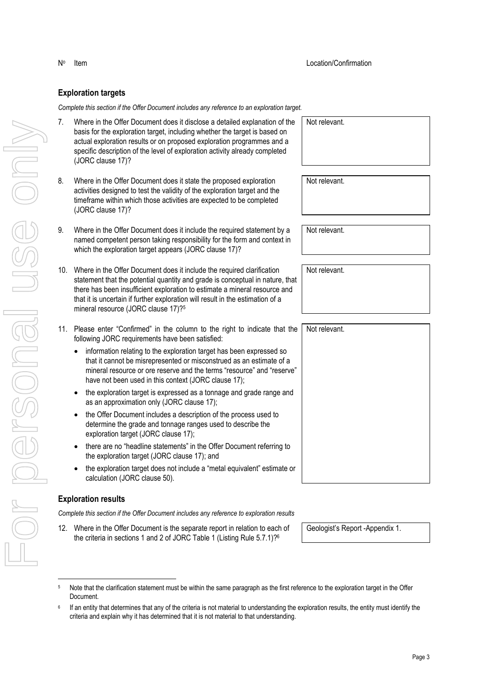#### **Exploration targets**

No

*Complete this section if the Offer Document includes any reference to an exploration target.*

- 7. Where in the Offer Document does it disclose a detailed explanation of the basis for the exploration target, including whether the target is based on actual exploration results or on proposed exploration programmes and a specific description of the level of exploration activity already completed (JORC clause 17)?
- 8. Where in the Offer Document does it state the proposed exploration activities designed to test the validity of the exploration target and the timeframe within which those activities are expected to be completed (JORC clause 17)?
- 9. Where in the Offer Document does it include the required statement by a named competent person taking responsibility for the form and context in which the exploration target appears (JORC clause 17)?
- 10. Where in the Offer Document does it include the required clarification statement that the potential quantity and grade is conceptual in nature, that there has been insufficient exploration to estimate a mineral resource and that it is uncertain if further exploration will result in the estimation of a mineral resource (JORC clause 17)?<sup>5</sup>
- 11. Please enter "Confirmed" in the column to the right to indicate that the following JORC requirements have been satisfied:
	- information relating to the exploration target has been expressed so that it cannot be misrepresented or misconstrued as an estimate of a mineral resource or ore reserve and the terms "resource" and "reserve" have not been used in this context (JORC clause 17);
	- the exploration target is expressed as a tonnage and grade range and as an approximation only (JORC clause 17);
	- the Offer Document includes a description of the process used to determine the grade and tonnage ranges used to describe the exploration target (JORC clause 17);
	- there are no "headline statements" in the Offer Document referring to the exploration target (JORC clause 17); and
	- the exploration target does not include a "metal equivalent" estimate or calculation (JORC clause 50).

#### **Exploration results**

*Complete this section if the Offer Document includes any reference to exploration results*

12. Where in the Offer Document is the separate report in relation to each of the criteria in sections 1 and 2 of JORC Table 1 (Listing Rule 5.7.1)?<sup>6</sup>

Geologist's Report -Appendix 1.

| Note that the clarification statement must be within the same paragraph as the first reference to the exploration target in the Offer |
|---------------------------------------------------------------------------------------------------------------------------------------|
| Document.                                                                                                                             |

Not relevant.

Not relevant.

Not relevant.

Not relevant.

Not relevant.

<sup>6</sup> If an entity that determines that any of the criteria is not material to understanding the exploration results, the entity must identify the criteria and explain why it has determined that it is not material to that understanding.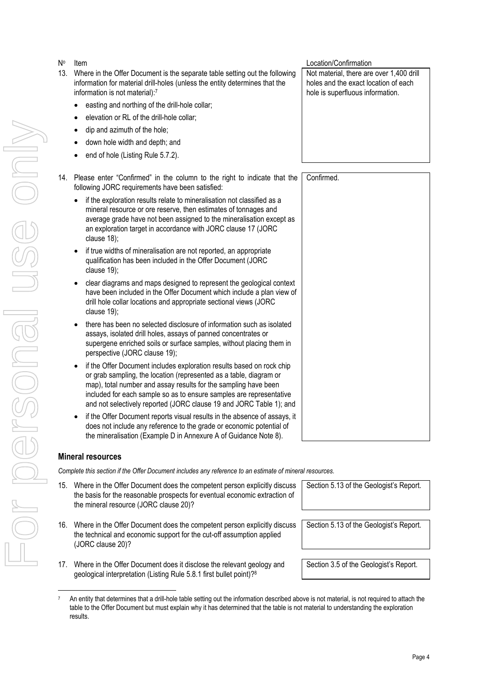No **Item** Location/Confirmation 13. Where in the Offer Document is the separate table setting out the following information for material drill-holes (unless the entity determines that the information is not material):<sup>7</sup> • easting and northing of the drill-hole collar; Not material, there are over 1,400 drill

- elevation or RL of the drill-hole collar;
- dip and azimuth of the hole;
- down hole width and depth; and
- end of hole (Listing Rule 5.7.2).
- 14. Please enter "Confirmed" in the column to the right to indicate that the following JORC requirements have been satisfied:
	- if the exploration results relate to mineralisation not classified as a mineral resource or ore reserve, then estimates of tonnages and average grade have not been assigned to the mineralisation except as an exploration target in accordance with JORC clause 17 (JORC clause 18);
	- if true widths of mineralisation are not reported, an appropriate qualification has been included in the Offer Document (JORC clause 19);
	- clear diagrams and maps designed to represent the geological context have been included in the Offer Document which include a plan view of drill hole collar locations and appropriate sectional views (JORC clause 19);
	- there has been no selected disclosure of information such as isolated assays, isolated drill holes, assays of panned concentrates or supergene enriched soils or surface samples, without placing them in perspective (JORC clause 19);
	- if the Offer Document includes exploration results based on rock chip or grab sampling, the location (represented as a table, diagram or map), total number and assay results for the sampling have been included for each sample so as to ensure samples are representative and not selectively reported (JORC clause 19 and JORC Table 1); and
	- if the Offer Document reports visual results in the absence of assays, it does not include any reference to the grade or economic potential of the mineralisation (Example D in Annexure A of Guidance Note 8).

# **Mineral resources**

*Complete this section if the Offer Document includes any reference to an estimate of mineral resources.*

- 15. Where in the Offer Document does the competent person explicitly discuss the basis for the reasonable prospects for eventual economic extraction of the mineral resource (JORC clause 20)?
- 16. Where in the Offer Document does the competent person explicitly discuss the technical and economic support for the cut-off assumption applied (JORC clause 20)?
- 17. Where in the Offer Document does it disclose the relevant geology and geological interpretation (Listing Rule 5.8.1 first bullet point)?<sup>8</sup>

Section 5.13 of the Geologist's Report.

Section 5.13 of the Geologist's Report.

Section 3.5 of the Geologist's Report.

holes and the exact location of each hole is superfluous information.

Confirmed.

<sup>7</sup> An entity that determines that a drill-hole table setting out the information described above is not material, is not required to attach the table to the Offer Document but must explain why it has determined that the table is not material to understanding the exploration results.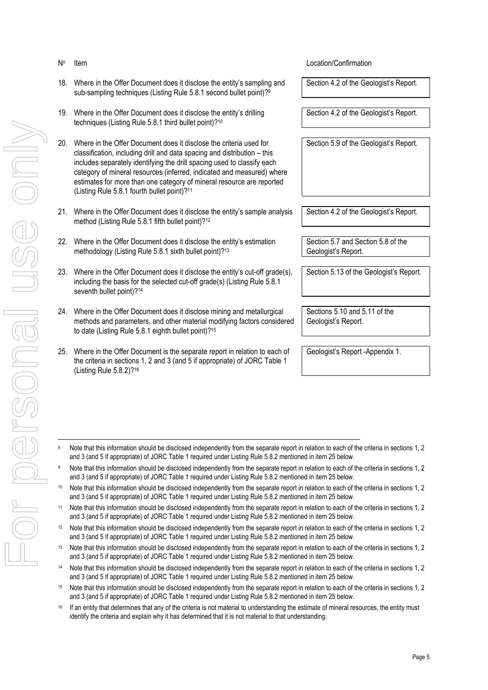No

#### 18. Where in the Offer Document does it disclose the entity's sampling and sub-sampling techniques (Listing Rule 5.8.1 second bullet point)?<sup>9</sup>

- 19. Where in the Offer Document does it disclose the entity's drilling techniques (Listing Rule 5.8.1 third bullet point)?<sup>10</sup>
- 20. Where in the Offer Document does it disclose the criteria used for classification, including drill and data spacing and distribution – this includes separately identifying the drill spacing used to classify each category of mineral resources (inferred, indicated and measured) where estimates for more than one category of mineral resource are reported (Listing Rule 5.8.1 fourth bullet point)?<sup>11</sup>
- 21. Where in the Offer Document does it disclose the entity's sample analysis method (Listing Rule 5.8.1 fifth bullet point)?<sup>12</sup>
- 22. Where in the Offer Document does it disclose the entity's estimation methodology (Listing Rule 5.8.1 sixth bullet point)?<sup>13</sup>
- 23. Where in the Offer Document does it disclose the entity's cut-off grade(s), including the basis for the selected cut-off grade(s) (Listing Rule 5.8.1 seventh bullet point)?<sup>14</sup>
- 24. Where in the Offer Document does it disclose mining and metallurgical methods and parameters, and other material modifying factors considered to date (Listing Rule 5.8.1 eighth bullet point)?<sup>15</sup>
- 25. Where in the Offer Document is the separate report in relation to each of the criteria in sections 1, 2 and 3 (and 5 if appropriate) of JORC Table 1 (Listing Rule 5.8.2)?<sup>16</sup>

Item Location/Confirmation

Section 4.2 of the Geologist's Report.

Section 4.2 of the Geologist's Report.

Section 5.9 of the Geologist's Report.

Section 4.2 of the Geologist's Report.

Section 5.7 and Section 5.8 of the Geologist's Report.

Section 5.13 of the Geologist's Report.

Sections 5.10 and 5.11 of the Geologist's Report.

Geologist's Report -Appendix 1.

- <sup>8</sup> Note that this information should be disclosed independently from the separate report in relation to each of the criteria in sections 1, 2 and 3 (and 5 if appropriate) of JORC Table 1 required under Listing Rule 5.8.2 mentioned in item 25 below.
- <sup>9</sup> Note that this information should be disclosed independently from the separate report in relation to each of the criteria in sections 1, 2 and 3 (and 5 if appropriate) of JORC Table 1 required under Listing Rule 5.8.2 mentioned in item 25 below.
- <sup>10</sup> Note that this information should be disclosed independently from the separate report in relation to each of the criteria in sections 1, 2 and 3 (and 5 if appropriate) of JORC Table 1 required under Listing Rule 5.8.2 mentioned in item 25 below.
- <sup>11</sup> Note that this information should be disclosed independently from the separate report in relation to each of the criteria in sections 1, 2 and 3 (and 5 if appropriate) of JORC Table 1 required under Listing Rule 5.8.2 mentioned in item 25 below.
- <sup>12</sup> Note that this information should be disclosed independently from the separate report in relation to each of the criteria in sections 1, 2 and 3 (and 5 if appropriate) of JORC Table 1 required under Listing Rule 5.8.2 mentioned in item 25 below.
- <sup>13</sup> Note that this information should be disclosed independently from the separate report in relation to each of the criteria in sections 1, 2 and 3 (and 5 if appropriate) of JORC Table 1 required under Listing Rule 5.8.2 mentioned in item 25 below.
- <sup>14</sup> Note that this information should be disclosed independently from the separate report in relation to each of the criteria in sections 1, 2 and 3 (and 5 if appropriate) of JORC Table 1 required under Listing Rule 5.8.2 mentioned in item 25 below.
- <sup>15</sup> Note that this information should be disclosed independently from the separate report in relation to each of the criteria in sections 1, 2 and 3 (and 5 if appropriate) of JORC Table 1 required under Listing Rule 5.8.2 mentioned in item 25 below.
- <sup>16</sup> If an entity that determines that any of the criteria is not material to understanding the estimate of mineral resources, the entity must identify the criteria and explain why it has determined that it is not material to that understanding.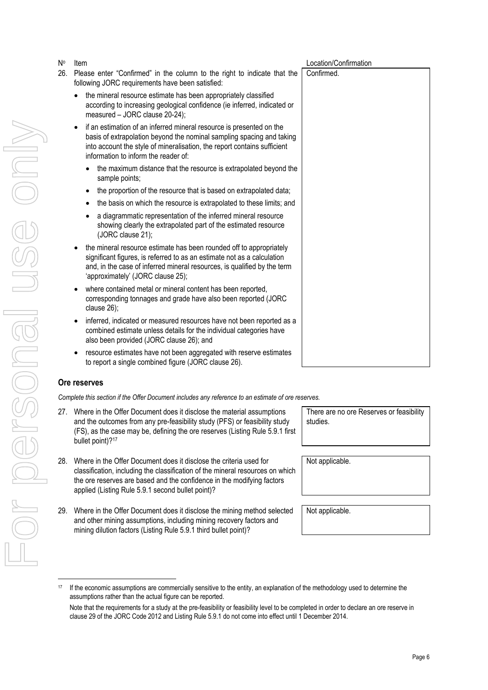- For personal use only VILOS PORCONS US ON
- No Item Location/Confirmation 26. Please enter "Confirmed" in the column to the right to indicate that the following JORC requirements have been satisfied: • the mineral resource estimate has been appropriately classified Confirmed.
	- according to increasing geological confidence (ie inferred, indicated or measured – JORC clause 20-24);
	- if an estimation of an inferred mineral resource is presented on the basis of extrapolation beyond the nominal sampling spacing and taking into account the style of mineralisation, the report contains sufficient information to inform the reader of:
		- the maximum distance that the resource is extrapolated beyond the sample points;
		- the proportion of the resource that is based on extrapolated data;
		- the basis on which the resource is extrapolated to these limits; and
		- a diagrammatic representation of the inferred mineral resource showing clearly the extrapolated part of the estimated resource (JORC clause 21);
	- the mineral resource estimate has been rounded off to appropriately significant figures, is referred to as an estimate not as a calculation and, in the case of inferred mineral resources, is qualified by the term 'approximately' (JORC clause 25);
	- where contained metal or mineral content has been reported, corresponding tonnages and grade have also been reported (JORC clause 26);
	- inferred, indicated or measured resources have not been reported as a combined estimate unless details for the individual categories have also been provided (JORC clause 26); and
	- resource estimates have not been aggregated with reserve estimates to report a single combined figure (JORC clause 26).

# **Ore reserves**

*Complete this section if the Offer Document includes any reference to an estimate of ore reserves.*

- 27. Where in the Offer Document does it disclose the material assumptions and the outcomes from any pre-feasibility study (PFS) or feasibility study (FS), as the case may be, defining the ore reserves (Listing Rule 5.9.1 first bullet point)?<sup>17</sup>
- 28. Where in the Offer Document does it disclose the criteria used for classification, including the classification of the mineral resources on which the ore reserves are based and the confidence in the modifying factors applied (Listing Rule 5.9.1 second bullet point)?
- 29. Where in the Offer Document does it disclose the mining method selected and other mining assumptions, including mining recovery factors and mining dilution factors (Listing Rule 5.9.1 third bullet point)?

There are no ore Reserves or feasibility studies.

Not applicable.

<sup>17</sup> If the economic assumptions are commercially sensitive to the entity, an explanation of the methodology used to determine the assumptions rather than the actual figure can be reported.

Note that the requirements for a study at the pre-feasibility or feasibility level to be completed in order to declare an ore reserve in clause 29 of the JORC Code 2012 and Listing Rule 5.9.1 do not come into effect until 1 December 2014.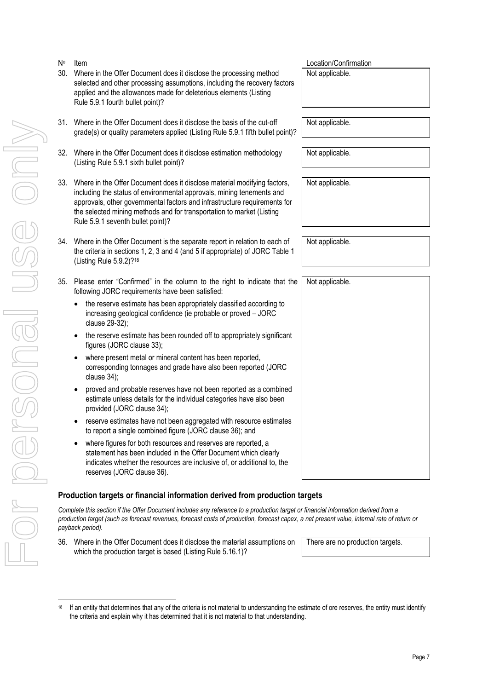For personal use only

KIGS ON

No

| N۰  | Item                                                                                                                                                                                                                                                                                                                                             | Location/Confirmation |
|-----|--------------------------------------------------------------------------------------------------------------------------------------------------------------------------------------------------------------------------------------------------------------------------------------------------------------------------------------------------|-----------------------|
| 30. | Where in the Offer Document does it disclose the processing method<br>selected and other processing assumptions, including the recovery factors<br>applied and the allowances made for deleterious elements (Listing<br>Rule 5.9.1 fourth bullet point)?                                                                                         | Not applicable.       |
|     | 31. Where in the Offer Document does it disclose the basis of the cut-off<br>grade(s) or quality parameters applied (Listing Rule 5.9.1 fifth bullet point)?                                                                                                                                                                                     | Not applicable.       |
| 32. | Where in the Offer Document does it disclose estimation methodology<br>(Listing Rule 5.9.1 sixth bullet point)?                                                                                                                                                                                                                                  | Not applicable.       |
|     | 33. Where in the Offer Document does it disclose material modifying factors,<br>including the status of environmental approvals, mining tenements and<br>approvals, other governmental factors and infrastructure requirements for<br>the selected mining methods and for transportation to market (Listing<br>Rule 5.9.1 seventh bullet point)? | Not applicable.       |
|     | 34. Where in the Offer Document is the separate report in relation to each of<br>the criteria in sections 1, 2, 3 and 4 (and 5 if appropriate) of JORC Table 1<br>(Listing Rule 5.9.2)? <sup>18</sup>                                                                                                                                            | Not applicable.       |
|     | 35. Please enter "Confirmed" in the column to the right to indicate that the<br>following JORC requirements have been satisfied:                                                                                                                                                                                                                 | Not applicable.       |
|     | the reserve estimate has been appropriately classified according to<br>$\bullet$<br>increasing geological confidence (ie probable or proved - JORC<br>clause 29-32);                                                                                                                                                                             |                       |
|     | the reserve estimate has been rounded off to appropriately significant<br>figures (JORC clause 33);                                                                                                                                                                                                                                              |                       |
|     | where present metal or mineral content has been reported,<br>$\bullet$<br>corresponding tonnages and grade have also been reported (JORC<br>clause 34);                                                                                                                                                                                          |                       |
|     | proved and probable reserves have not been reported as a combined<br>estimate unless details for the individual categories have also been<br>provided (JORC clause 34);                                                                                                                                                                          |                       |
|     | reserve estimates have not been aggregated with resource estimates<br>to report a single combined figure (JORC clause 36); and                                                                                                                                                                                                                   |                       |
|     | where figures for both resources and reserves are reported, a<br>statement has been included in the Offer Document which clearly<br>indicates whether the resources are inclusive of, or additional to, the<br>reserves (JORC clause 36).                                                                                                        |                       |
|     | Production targets or financial information derived from production targets                                                                                                                                                                                                                                                                      |                       |

*Complete this section if the Offer Document includes any reference to a production target or financial information derived from a production target (such as forecast revenues, forecast costs of production, forecast capex, a net present value, internal rate of return or payback period).*

36. Where in the Offer Document does it disclose the material assumptions on which the production target is based (Listing Rule 5.16.1)?

There are no production targets.

<sup>&</sup>lt;sup>18</sup> If an entity that determines that any of the criteria is not material to understanding the estimate of ore reserves, the entity must identify the criteria and explain why it has determined that it is not material to that understanding.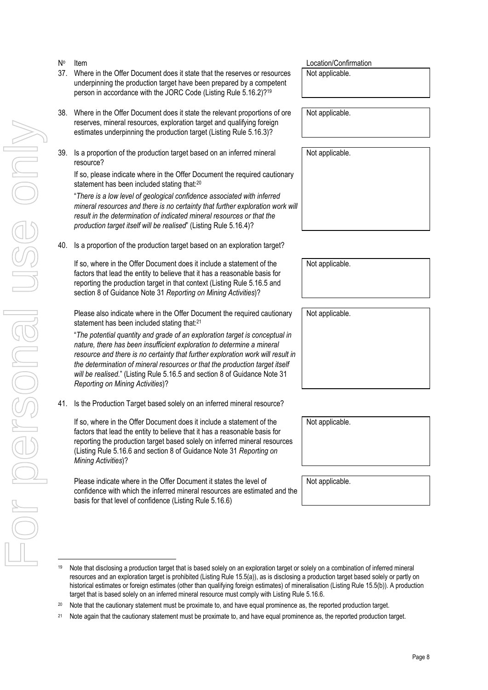- No
- 37. Where in the Offer Document does it state that the reserves or resources underpinning the production target have been prepared by a competent person in accordance with the JORC Code (Listing Rule 5.16.2)?<sup>19</sup>
- 38. Where in the Offer Document does it state the relevant proportions of ore reserves, mineral resources, exploration target and qualifying foreign estimates underpinning the production target (Listing Rule 5.16.3)?
- 39. Is a proportion of the production target based on an inferred mineral resource?

If so, please indicate where in the Offer Document the required cautionary statement has been included stating that:<sup>20</sup>

"*There is a low level of geological confidence associated with inferred mineral resources and there is no certainty that further exploration work will result in the determination of indicated mineral resources or that the production target itself will be realised*" (Listing Rule 5.16.4)?

40. Is a proportion of the production target based on an exploration target?

If so, where in the Offer Document does it include a statement of the factors that lead the entity to believe that it has a reasonable basis for reporting the production target in that context (Listing Rule 5.16.5 and section 8 of Guidance Note 31 *Reporting on Mining Activities*)?

Please also indicate where in the Offer Document the required cautionary statement has been included stating that:<sup>21</sup>

"*The potential quantity and grade of an exploration target is conceptual in nature, there has been insufficient exploration to determine a mineral resource and there is no certainty that further exploration work will result in the determination of mineral resources or that the production target itself will be realised.*" (Listing Rule 5.16.5 and section 8 of Guidance Note 31 *Reporting on Mining Activities*)?

41. Is the Production Target based solely on an inferred mineral resource?

If so, where in the Offer Document does it include a statement of the factors that lead the entity to believe that it has a reasonable basis for reporting the production target based solely on inferred mineral resources (Listing Rule 5.16.6 and section 8 of Guidance Note 31 *Reporting on Mining Activities*)?

Please indicate where in the Offer Document it states the level of confidence with which the inferred mineral resources are estimated and the basis for that level of confidence (Listing Rule 5.16.6)

Item Location/Confirmation

Not applicable.

Not applicable.

Not applicable.

Not applicable.

Not applicable.

Not applicable.

Not applicable.

<sup>21</sup> Note again that the cautionary statement must be proximate to, and have equal prominence as, the reported production target.

Note that disclosing a production target that is based solely on an exploration target or solely on a combination of inferred mineral resources and an exploration target is prohibited (Listing Rule 15.5(a)), as is disclosing a production target based solely or partly on historical estimates or foreign estimates (other than qualifying foreign estimates) of mineralisation (Listing Rule 15.5(b)). A production target that is based solely on an inferred mineral resource must comply with Listing Rule 5.16.6.

<sup>&</sup>lt;sup>20</sup> Note that the cautionary statement must be proximate to, and have equal prominence as, the reported production target.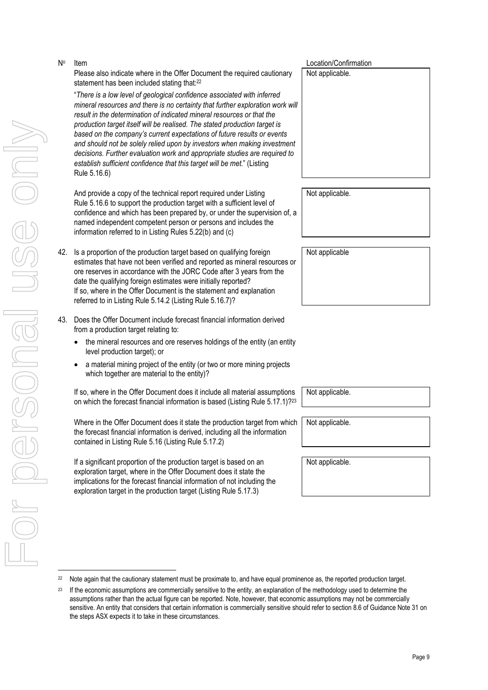For personal use only Forersonal use ondNo

Item Location/Confirmation Please also indicate where in the Offer Document the required cautionary statement has been included stating that:<sup>22</sup>

"*There is a low level of geological confidence associated with inferred mineral resources and there is no certainty that further exploration work will result in the determination of indicated mineral resources or that the production target itself will be realised. The stated production target is based on the company's current expectations of future results or events and should not be solely relied upon by investors when making investment decisions. Further evaluation work and appropriate studies are required to establish sufficient confidence that this target will be met.*" (Listing Rule 5.16.6)

And provide a copy of the technical report required under Listing Rule 5.16.6 to support the production target with a sufficient level of confidence and which has been prepared by, or under the supervision of, a named independent competent person or persons and includes the information referred to in Listing Rules 5.22(b) and (c)

- 42. Is a proportion of the production target based on qualifying foreign estimates that have not been verified and reported as mineral resources or ore reserves in accordance with the JORC Code after 3 years from the date the qualifying foreign estimates were initially reported? If so, where in the Offer Document is the statement and explanation referred to in Listing Rule 5.14.2 (Listing Rule 5.16.7)?
- 43. Does the Offer Document include forecast financial information derived from a production target relating to:
	- the mineral resources and ore reserves holdings of the entity (an entity level production target); or
	- a material mining project of the entity (or two or more mining projects which together are material to the entity)?

If so, where in the Offer Document does it include all material assumptions on which the forecast financial information is based (Listing Rule 5.17.1)?<sup>23</sup>

Where in the Offer Document does it state the production target from which the forecast financial information is derived, including all the information contained in Listing Rule 5.16 (Listing Rule 5.17.2)

If a significant proportion of the production target is based on an exploration target, where in the Offer Document does it state the implications for the forecast financial information of not including the exploration target in the production target (Listing Rule 5.17.3)

Not applicable.

Not applicable

Not applicable.

Not applicable.

Not applicable.

<sup>&</sup>lt;sup>22</sup> Note again that the cautionary statement must be proximate to, and have equal prominence as, the reported production target.

<sup>&</sup>lt;sup>23</sup> If the economic assumptions are commercially sensitive to the entity, an explanation of the methodology used to determine the assumptions rather than the actual figure can be reported. Note, however, that economic assumptions may not be commercially sensitive. An entity that considers that certain information is commercially sensitive should refer to section 8.6 of Guidance Note 31 on the steps ASX expects it to take in these circumstances.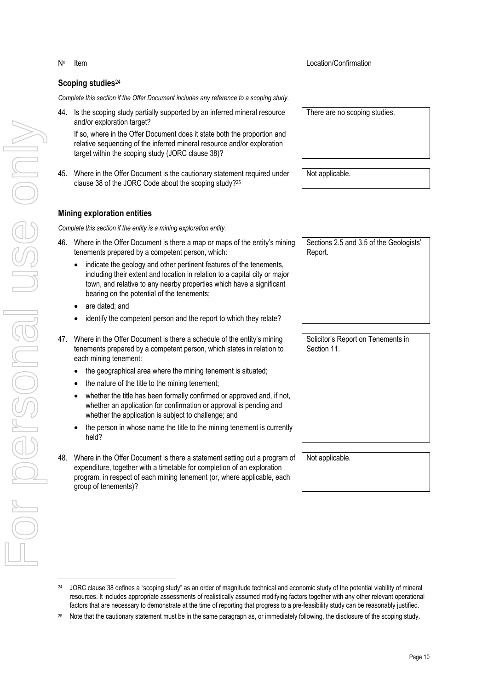# **Scoping studies**<sup>24</sup>

*Complete this section if the Offer Document includes any reference to a scoping study.*

44. Is the scoping study partially supported by an inferred mineral resource and/or exploration target?

If so, where in the Offer Document does it state both the proportion and relative sequencing of the inferred mineral resource and/or exploration target within the scoping study (JORC clause 38)?

45. Where in the Offer Document is the cautionary statement required under clause 38 of the JORC Code about the scoping study?<sup>25</sup>

### **Mining exploration entities**

*Complete this section if the entity is a mining exploration entity.*

- 46. Where in the Offer Document is there a map or maps of the entity's mining tenements prepared by a competent person, which:
	- indicate the geology and other pertinent features of the tenements, including their extent and location in relation to a capital city or major town, and relative to any nearby properties which have a significant bearing on the potential of the tenements;
	- are dated; and
	- identify the competent person and the report to which they relate?

47. Where in the Offer Document is there a schedule of the entity's mining tenements prepared by a competent person, which states in relation to each mining tenement:

- the geographical area where the mining tenement is situated;
- $\bullet$  the nature of the title to the mining tenement;
- whether the title has been formally confirmed or approved and, if not, whether an application for confirmation or approval is pending and whether the application is subject to challenge; and
- the person in whose name the title to the mining tenement is currently held?
- 48. Where in the Offer Document is there a statement setting out a program of expenditure, together with a timetable for completion of an exploration program, in respect of each mining tenement (or, where applicable, each group of tenements)?

Not applicable.

Sections 2.5 and 3.5 of the Geologists' Report.

Solicitor's Report on Tenements in Section 11.

There are no scoping studies.

<sup>&</sup>lt;sup>24</sup> JORC clause 38 defines a "scoping study" as an order of magnitude technical and economic study of the potential viability of mineral resources. It includes appropriate assessments of realistically assumed modifying factors together with any other relevant operational factors that are necessary to demonstrate at the time of reporting that progress to a pre-feasibility study can be reasonably justified.

Note that the cautionary statement must be in the same paragraph as, or immediately following, the disclosure of the scoping study.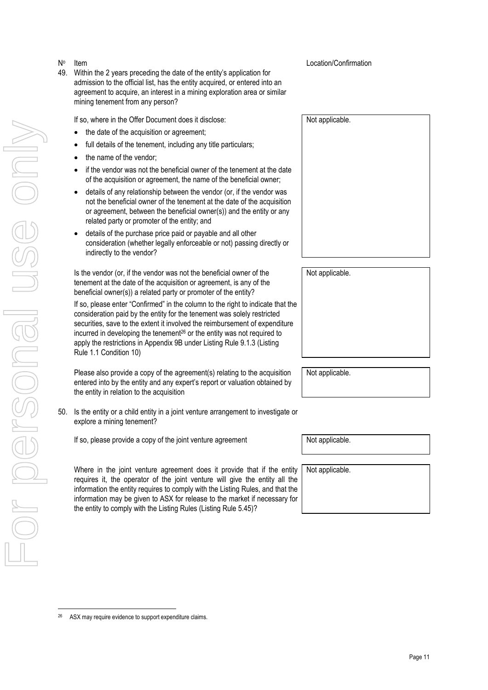### Item Location/Confirmation

49. Within the 2 years preceding the date of the entity's application for admission to the official list, has the entity acquired, or entered into an agreement to acquire, an interest in a mining exploration area or similar mining tenement from any person?

If so, where in the Offer Document does it disclose:

- the date of the acquisition or agreement;
- full details of the tenement, including any title particulars;
- the name of the vendor;

No

- if the vendor was not the beneficial owner of the tenement at the date of the acquisition or agreement, the name of the beneficial owner;
- details of any relationship between the vendor (or, if the vendor was not the beneficial owner of the tenement at the date of the acquisition or agreement, between the beneficial owner(s)) and the entity or any related party or promoter of the entity; and
- details of the purchase price paid or payable and all other consideration (whether legally enforceable or not) passing directly or indirectly to the vendor?

Is the vendor (or, if the vendor was not the beneficial owner of the tenement at the date of the acquisition or agreement, is any of the beneficial owner(s)) a related party or promoter of the entity?

If so, please enter "Confirmed" in the column to the right to indicate that the consideration paid by the entity for the tenement was solely restricted securities, save to the extent it involved the reimbursement of expenditure incurred in developing the tenement26 or the entity was not required to apply the restrictions in Appendix 9B under Listing Rule 9.1.3 (Listing Rule 1.1 Condition 10)

Please also provide a copy of the agreement(s) relating to the acquisition entered into by the entity and any expert's report or valuation obtained by the entity in relation to the acquisition

50. Is the entity or a child entity in a joint venture arrangement to investigate or explore a mining tenement?

If so, please provide a copy of the joint venture agreement Not applicable.

Where in the joint venture agreement does it provide that if the entity requires it, the operator of the joint venture will give the entity all the information the entity requires to comply with the Listing Rules, and that the information may be given to ASX for release to the market if necessary for the entity to comply with the Listing Rules (Listing Rule 5.45)?

Not applicable.

Not applicable.

Not applicable.

ASX may require evidence to support expenditure claims.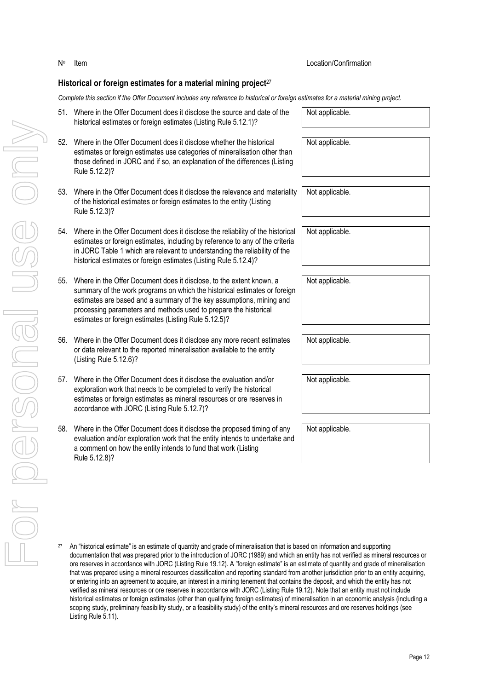Item Location/Confirmation

No

Jor personal use only

<sup>&</sup>lt;sup>27</sup> An "historical estimate" is an estimate of quantity and grade of mineralisation that is based on information and supporting documentation that was prepared prior to the introduction of JORC (1989) and which an entity has not verified as mineral resources or ore reserves in accordance with JORC (Listing Rule 19.12). A "foreign estimate" is an estimate of quantity and grade of mineralisation that was prepared using a mineral resources classification and reporting standard from another jurisdiction prior to an entity acquiring, or entering into an agreement to acquire, an interest in a mining tenement that contains the deposit, and which the entity has not verified as mineral resources or ore reserves in accordance with JORC (Listing Rule 19.12). Note that an entity must not include historical estimates or foreign estimates (other than qualifying foreign estimates) of mineralisation in an economic analysis (including a scoping study, preliminary feasibility study, or a feasibility study) of the entity's mineral resources and ore reserves holdings (see Listing Rule 5.11).